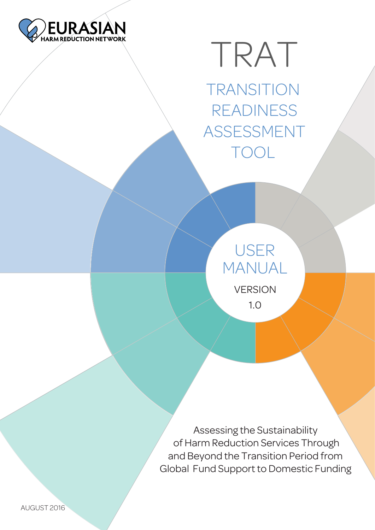

# TRAT

**TRANSITION** READINESS ASSESSMENT TOOL

# USER MANUAL VERSION

1.0

Assessing the Sustainability of Harm Reduction Services Through and Beyond the Transition Period from Global Fund Support to Domestic Funding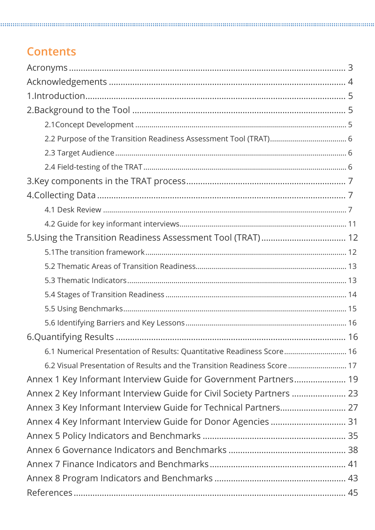### **Contents**

| 6.1 Numerical Presentation of Results: Quantitative Readiness Score 16    |  |
|---------------------------------------------------------------------------|--|
| 6.2 Visual Presentation of Results and the Transition Readiness Score  17 |  |
| Annex 1 Key Informant Interview Guide for Government Partners 19          |  |
| Annex 2 Key Informant Interview Guide for Civil Society Partners  23      |  |
|                                                                           |  |
|                                                                           |  |
|                                                                           |  |
|                                                                           |  |
|                                                                           |  |
|                                                                           |  |
|                                                                           |  |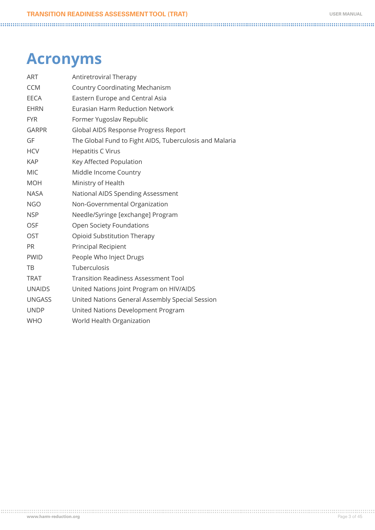### <span id="page-2-0"></span>**Acronyms**

| <b>ART</b>    | Antiretroviral Therapy                                  |
|---------------|---------------------------------------------------------|
| <b>CCM</b>    | <b>Country Coordinating Mechanism</b>                   |
| <b>EECA</b>   | Eastern Europe and Central Asia                         |
| <b>EHRN</b>   | Eurasian Harm Reduction Network                         |
| <b>FYR</b>    | Former Yugoslav Republic                                |
| <b>GARPR</b>  | Global AIDS Response Progress Report                    |
| GF            | The Global Fund to Fight AIDS, Tuberculosis and Malaria |
| <b>HCV</b>    | <b>Hepatitis C Virus</b>                                |
| <b>KAP</b>    | Key Affected Population                                 |
| <b>MIC</b>    | Middle Income Country                                   |
| <b>MOH</b>    | Ministry of Health                                      |
| <b>NASA</b>   | National AIDS Spending Assessment                       |
| <b>NGO</b>    | Non-Governmental Organization                           |
| <b>NSP</b>    | Needle/Syringe [exchange] Program                       |
| <b>OSF</b>    | Open Society Foundations                                |
| OST           | Opioid Substitution Therapy                             |
| PR.           | <b>Principal Recipient</b>                              |
| <b>PWID</b>   | People Who Inject Drugs                                 |
| TB            | Tuberculosis                                            |
| <b>TRAT</b>   | <b>Transition Readiness Assessment Tool</b>             |
| <b>UNAIDS</b> | United Nations Joint Program on HIV/AIDS                |
| <b>UNGASS</b> | United Nations General Assembly Special Session         |
| <b>UNDP</b>   | United Nations Development Program                      |
| <b>WHO</b>    | World Health Organization                               |
|               |                                                         |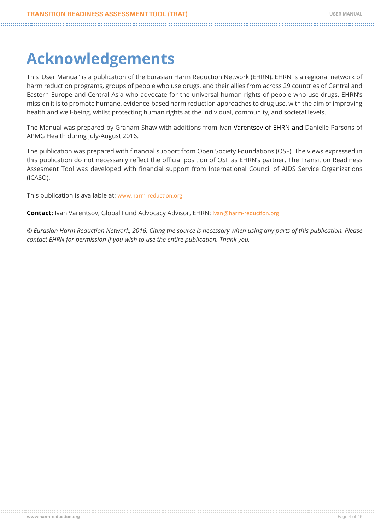# <span id="page-3-0"></span>**Acknowledgements**

This 'User Manual' is a publication of the Eurasian Harm Reduction Network (EHRN). EHRN is a regional network of harm reduction programs, groups of people who use drugs, and their allies from across 29 countries of Central and Eastern Europe and Central Asia who advocate for the universal human rights of people who use drugs. EHRN's mission it is to promote humane, evidence-based harm reduction approaches to drug use, with the aim of improving health and well-being, whilst protecting human rights at the individual, community, and societal levels.

The Manual was prepared by Graham Shaw with additions from Ivan Varentsov of EHRN and Danielle Parsons of APMG Health during July-August 2016.

The publication was prepared with financial support from Open Society Foundations (OSF). The views expressed in this publication do not necessarily reflect the official position of OSF as EHRN's partner. The Transition Readiness Assesment Tool was developed with financial support from International Council of AIDS Service Organizations (ICASO).

This publication is available at: [www.harm-reduction.org](file:///C:\Users\Ivanas Varentsovas\AppData\Local\Microsoft\Windows\INetCache\Content.Outlook\JIA54PR3\www.harm-reduction.org)

**Contact:** Ivan Varentsov, Global Fund Advocacy Advisor, EHRN: [ivan@harm-reduction.org](file:///C:\Users\Graham\Documents\C O N S U L T A N C I E S\2016\2016-001-EHRN-Albania\Case Study - Albania\ivan@harm-reduction.org)

*© Eurasian Harm Reduction Network, 2016. Citing the source is necessary when using any parts of this publication. Please contact EHRN for permission if you wish to use the entire publication. Thank you.*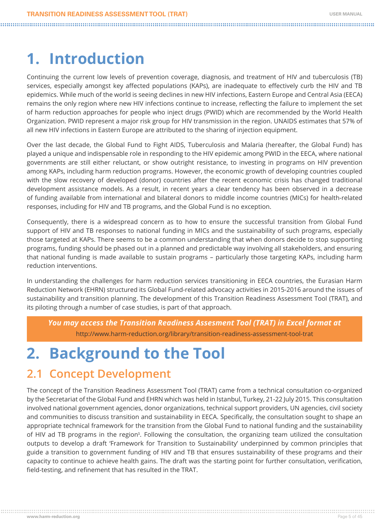# <span id="page-4-0"></span>**1. Introduction**

Continuing the current low levels of prevention coverage, diagnosis, and treatment of HIV and tuberculosis (TB) services, especially amongst key affected populations (KAPs), are inadequate to effectively curb the HIV and TB epidemics. While much of the world is seeing declines in new HIV infections, Eastern Europe and Central Asia (EECA) remains the only region where new HIV infections continue to increase, reflecting the failure to implement the set of harm reduction approaches for people who inject drugs (PWID) which are recommended by the World Health Organization. PWID represent a major risk group for HIV transmission in the region. UNAIDS estimates that 57% of all new HIV infections in Eastern Europe are attributed to the sharing of injection equipment.

Over the last decade, the Global Fund to Fight AIDS, Tuberculosis and Malaria (hereafter, the Global Fund) has played a unique and indispensable role in responding to the HIV epidemic among PWID in the EECA, where national governments are still either reluctant, or show outright resistance, to investing in programs on HIV prevention among KAPs, including harm reduction programs. However, the economic growth of developing countries coupled with the slow recovery of developed (donor) countries after the recent economic crisis has changed traditional development assistance models. As a result, in recent years a clear tendency has been observed in a decrease of funding available from international and bilateral donors to middle income countries (MICs) for health-related responses, including for HIV and TB programs, and the Global Fund is no exception.

Consequently, there is a widespread concern as to how to ensure the successful transition from Global Fund support of HIV and TB responses to national funding in MICs and the sustainability of such programs, especially those targeted at KAPs. There seems to be a common understanding that when donors decide to stop supporting programs, funding should be phased out in a planned and predictable way involving all stakeholders, and ensuring that national funding is made available to sustain programs – particularly those targeting KAPs, including harm reduction interventions.

In understanding the challenges for harm reduction services transitioning in EECA countries, the Eurasian Harm Reduction Network (EHRN) structured its Global Fund-related advocacy activities in 2015-2016 around the issues of sustainability and transition planning. The development of this Transition Readiness Assessment Tool (TRAT), and its piloting through a number of case studies, is part of that approach.

*You may access the Transition Readiness Assesment Tool (TRAT) in Excel format at*  http://www.harm-reduction.org/library/transition-readiness-assessment-tool-trat

# **2. Background to the Tool**

### **2.1 Concept Development**

The concept of the Transition Readiness Assessment Tool (TRAT) came from a technical consultation co-organized by the Secretariat of the Global Fund and EHRN which was held in Istanbul, Turkey, 21-22 July 2015. This consultation involved national government agencies, donor organizations, technical support providers, UN agencies, civil society and communities to discuss transition and sustainability in EECA. Specifically, the consultation sought to shape an appropriate technical framework for the transition from the Global Fund to national funding and the sustainability of HIV ad TB programs in the region<sup>1</sup>. Following the consultation, the organizing team utilized the consultation outputs to develop a draft 'Framework for Transition to Sustainability' underpinned by common principles that guide a transition to government funding of HIV and TB that ensures sustainability of these programs and their capacity to continue to achieve health gains. The draft was the starting point for further consultation, verification, field-testing, and refinement that has resulted in the TRAT.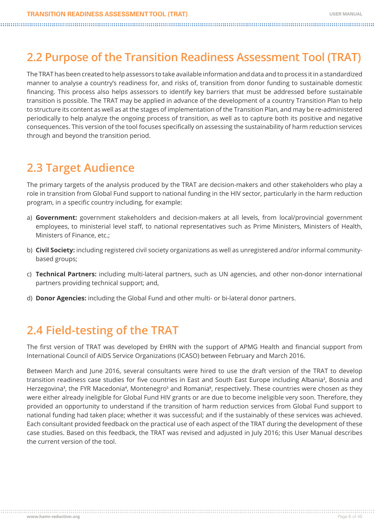### <span id="page-5-0"></span>**2.2 Purpose of the Transition Readiness Assessment Tool (TRAT)**

The TRAT has been created to help assessors to take available information and data and to process it in a standardized manner to analyse a country's readiness for, and risks of, transition from donor funding to sustainable domestic financing. This process also helps assessors to identify key barriers that must be addressed before sustainable transition is possible. The TRAT may be applied in advance of the development of a country Transition Plan to help to structure its content as well as at the stages of implementation of the Transition Plan, and may be re-administered periodically to help analyze the ongoing process of transition, as well as to capture both its positive and negative consequences. This version of the tool focuses specifically on assessing the sustainability of harm reduction services through and beyond the transition period.

### **2.3 Target Audience**

The primary targets of the analysis produced by the TRAT are decision-makers and other stakeholders who play a role in transition from Global Fund support to national funding in the HIV sector, particularly in the harm reduction program, in a specific country including, for example:

- a) **Government:** government stakeholders and decision-makers at all levels, from local/provincial government employees, to ministerial level staff, to national representatives such as Prime Ministers, Ministers of Health, Ministers of Finance, etc.;
- b) **Civil Society:** including registered civil society organizations as well as unregistered and/or informal communitybased groups;
- c) **Technical Partners:** including multi-lateral partners, such as UN agencies, and other non-donor international partners providing technical support; and,
- d) **Donor Agencies:** including the Global Fund and other multi- or bi-lateral donor partners.

### **2.4 Field-testing of the TRAT**

The first version of TRAT was developed by EHRN with the support of APMG Health and financial support from International Council of AIDS Service Organizations (ICASO) between February and March 2016.

Between March and June 2016, several consultants were hired to use the draft version of the TRAT to develop transition readiness case studies for five countries in East and South East Europe including Albania<sup>2</sup>, Bosnia and Herzegovina<sup>3</sup>, the FYR Macedonia<sup>4</sup>, Montenegro<sup>s</sup> and Romania<sup>6</sup>, respectively. These countries were chosen as they were either already ineligible for Global Fund HIV grants or are due to become ineligible very soon. Therefore, they provided an opportunity to understand if the transition of harm reduction services from Global Fund support to national funding had taken place; whether it was successful; and if the sustainably of these services was achieved. Each consultant provided feedback on the practical use of each aspect of the TRAT during the development of these case studies. Based on this feedback, the TRAT was revised and adjusted in July 2016; this User Manual describes the current version of the tool.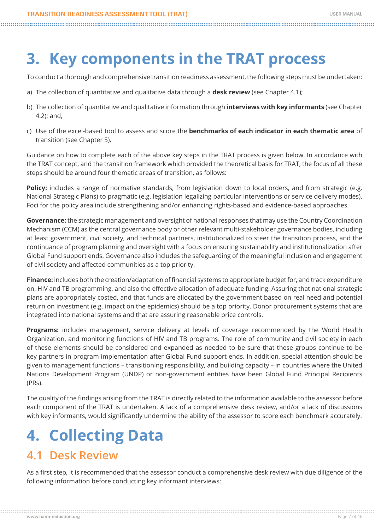# <span id="page-6-0"></span>**3. Key components in the TRAT process**

To conduct a thorough and comprehensive transition readiness assessment, the following steps must be undertaken:

- a) The collection of quantitative and qualitative data through a **desk review** (see Chapter 4.1);
- b) The collection of quantitative and qualitative information through **interviews with key informants** (see Chapter 4.2); and,
- c) Use of the excel-based tool to assess and score the **benchmarks of each indicator in each thematic area** of transition (see Chapter 5).

Guidance on how to complete each of the above key steps in the TRAT process is given below. In accordance with the TRAT concept, and the transition framework which provided the theoretical basis for TRAT, the focus of all these steps should be around four thematic areas of transition, as follows:

**Policy:** includes a range of normative standards, from legislation down to local orders, and from strategic (e.g. National Strategic Plans) to pragmatic (e.g. legislation legalizing particular interventions or service delivery modes). Foci for the policy area include strengthening and/or enhancing rights-based and evidence-based approaches.

**Governance:** the strategic management and oversight of national responses that may use the Country Coordination Mechanism (CCM) as the central governance body or other relevant multi-stakeholder governance bodies, including at least government, civil society, and technical partners, institutionalized to steer the transition process, and the continuance of program planning and oversight with a focus on ensuring sustainability and institutionalization after Global Fund support ends. Governance also includes the safeguarding of the meaningful inclusion and engagement of civil society and affected communities as a top priority.

**Finance:** includes both the creation/adaptation of financial systems to appropriate budget for, and track expenditure on, HIV and TB programming, and also the effective allocation of adequate funding. Assuring that national strategic plans are appropriately costed, and that funds are allocated by the government based on real need and potential return on investment (e.g. impact on the epidemics) should be a top priority. Donor procurement systems that are integrated into national systems and that are assuring reasonable price controls.

**Programs:** includes management, service delivery at levels of coverage recommended by the World Health Organization, and monitoring functions of HIV and TB programs. The role of community and civil society in each of these elements should be considered and expanded as needed to be sure that these groups continue to be key partners in program implementation after Global Fund support ends. In addition, special attention should be given to management functions – transitioning responsibility, and building capacity – in countries where the United Nations Development Program (UNDP) or non-government entities have been Global Fund Principal Recipients (PRs).

The quality of the findings arising from the TRAT is directly related to the information available to the assessor before each component of the TRAT is undertaken. A lack of a comprehensive desk review, and/or a lack of discussions with key informants, would significantly undermine the ability of the assessor to score each benchmark accurately.

# **4. Collecting Data**

### **4.1 Desk Review**

As a first step, it is recommended that the assessor conduct a comprehensive desk review with due diligence of the following information before conducting key informant interviews: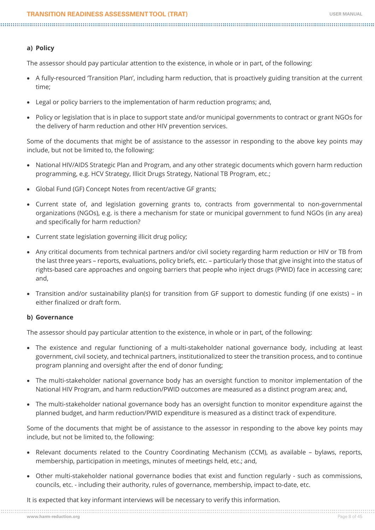#### **a) Policy**

The assessor should pay particular attention to the existence, in whole or in part, of the following:

- • A fully-resourced 'Transition Plan', including harm reduction, that is proactively guiding transition at the current time;
- Legal or policy barriers to the implementation of harm reduction programs; and,
- • Policy or legislation that is in place to support state and/or municipal governments to contract or grant NGOs for the delivery of harm reduction and other HIV prevention services.

Some of the documents that might be of assistance to the assessor in responding to the above key points may include, but not be limited to, the following:

- • National HIV/AIDS Strategic Plan and Program, and any other strategic documents which govern harm reduction programming, e.g. HCV Strategy, Illicit Drugs Strategy, National TB Program, etc.;
- Global Fund (GF) Concept Notes from recent/active GF grants;
- • Current state of, and legislation governing grants to, contracts from governmental to non-governmental organizations (NGOs), e.g. is there a mechanism for state or municipal government to fund NGOs (in any area) and specifically for harm reduction?
- Current state legislation governing illicit drug policy;
- • Any critical documents from technical partners and/or civil society regarding harm reduction or HIV or TB from the last three years – reports, evaluations, policy briefs, etc. – particularly those that give insight into the status of rights-based care approaches and ongoing barriers that people who inject drugs (PWID) face in accessing care; and,
- Transition and/or sustainability plan(s) for transition from GF support to domestic funding (if one exists) in either finalized or draft form.

#### **b) Governance**

The assessor should pay particular attention to the existence, in whole or in part, of the following:

- The existence and regular functioning of a multi-stakeholder national governance body, including at least government, civil society, and technical partners, institutionalized to steer the transition process, and to continue program planning and oversight after the end of donor funding;
- The multi-stakeholder national governance body has an oversight function to monitor implementation of the National HIV Program, and harm reduction/PWID outcomes are measured as a distinct program area; and,
- The multi-stakeholder national governance body has an oversight function to monitor expenditure against the planned budget, and harm reduction/PWID expenditure is measured as a distinct track of expenditure.

Some of the documents that might be of assistance to the assessor in responding to the above key points may include, but not be limited to, the following:

- Relevant documents related to the Country Coordinating Mechanism (CCM), as available bylaws, reports, membership, participation in meetings, minutes of meetings held, etc.; and,
- • Other multi-stakeholder national governance bodies that exist and function regularly such as commissions, councils, etc. - including their authority, rules of governance, membership, impact to-date, etc.

It is expected that key informant interviews will be necessary to verify this information.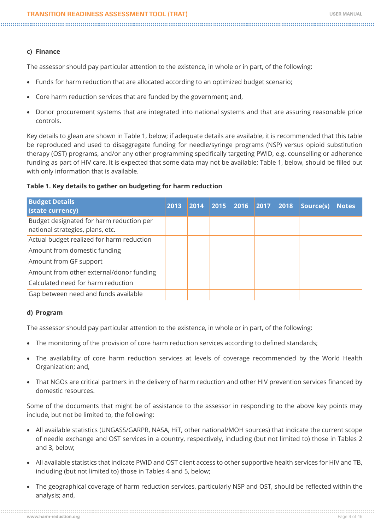#### **c) Finance**

The assessor should pay particular attention to the existence, in whole or in part, of the following:

- Funds for harm reduction that are allocated according to an optimized budget scenario;
- Core harm reduction services that are funded by the government; and,
- Donor procurement systems that are integrated into national systems and that are assuring reasonable price controls.

Key details to glean are shown in Table 1, below; if adequate details are available, it is recommended that this table be reproduced and used to disaggregate funding for needle/syringe programs (NSP) versus opioid substitution therapy (OST) programs, and/or any other programming specifically targeting PWID, e.g. counselling or adherence funding as part of HIV care. It is expected that some data may not be available; Table 1, below, should be filled out with only information that is available.

#### **Table 1. Key details to gather on budgeting for harm reduction**

| <b>Budget Details</b><br>(state currency)                                    | 2013 | 2014 | 2015 | 2016 2017 | 2018 | Source(s) | <b>Notes</b> |
|------------------------------------------------------------------------------|------|------|------|-----------|------|-----------|--------------|
| Budget designated for harm reduction per<br>national strategies, plans, etc. |      |      |      |           |      |           |              |
| Actual budget realized for harm reduction                                    |      |      |      |           |      |           |              |
| Amount from domestic funding                                                 |      |      |      |           |      |           |              |
| Amount from GF support                                                       |      |      |      |           |      |           |              |
| Amount from other external/donor funding                                     |      |      |      |           |      |           |              |
| Calculated need for harm reduction                                           |      |      |      |           |      |           |              |
| Gap between need and funds available                                         |      |      |      |           |      |           |              |

#### **d) Program**

The assessor should pay particular attention to the existence, in whole or in part, of the following:

- The monitoring of the provision of core harm reduction services according to defined standards;
- The availability of core harm reduction services at levels of coverage recommended by the World Health Organization; and,
- That NGOs are critical partners in the delivery of harm reduction and other HIV prevention services financed by domestic resources.

Some of the documents that might be of assistance to the assessor in responding to the above key points may include, but not be limited to, the following:

- All available statistics (UNGASS/GARPR, NASA, HiT, other national/MOH sources) that indicate the current scope of needle exchange and OST services in a country, respectively, including (but not limited to) those in Tables 2 and 3, below;
- • All available statistics that indicate PWID and OST client access to other supportive health services for HIV and TB, including (but not limited to) those in Tables 4 and 5, below;
- The geographical coverage of harm reduction services, particularly NSP and OST, should be reflected within the analysis; and,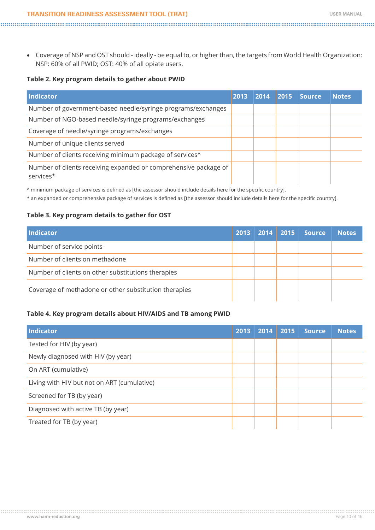- - • Coverage of NSP and OST should ideally be equal to, or higher than, the targets from World Health Organization: NSP: 60% of all PWID; OST: 40% of all opiate users.

#### **Table 2. Key program details to gather about PWID**

| <b>Indicator</b>                                                              | 2013 | 2014 | 2015 | <b>Source</b> | <b>Notes</b> |
|-------------------------------------------------------------------------------|------|------|------|---------------|--------------|
| Number of government-based needle/syringe programs/exchanges                  |      |      |      |               |              |
| Number of NGO-based needle/syringe programs/exchanges                         |      |      |      |               |              |
| Coverage of needle/syringe programs/exchanges                                 |      |      |      |               |              |
| Number of unique clients served                                               |      |      |      |               |              |
| Number of clients receiving minimum package of services^                      |      |      |      |               |              |
| Number of clients receiving expanded or comprehensive package of<br>services* |      |      |      |               |              |

^ minimum package of services is defined as [the assessor should include details here for the specific country].

\* an expanded or comprehensive package of services is defined as [the assessor should include details here for the specific country].

#### **Table 3. Key program details to gather for OST**

| <b>Indicator</b>                                      | 2013 | 2014 | $\vert$ 2015 | <b>Source</b> | <b>Notes</b> |
|-------------------------------------------------------|------|------|--------------|---------------|--------------|
| Number of service points                              |      |      |              |               |              |
| Number of clients on methadone                        |      |      |              |               |              |
| Number of clients on other substitutions therapies    |      |      |              |               |              |
| Coverage of methadone or other substitution therapies |      |      |              |               |              |

#### **Table 4. Key program details about HIV/AIDS and TB among PWID**

| Indicator                                   | 2013 | 2014 | 2015 | <b>Source</b> | <b>Notes</b> |
|---------------------------------------------|------|------|------|---------------|--------------|
| Tested for HIV (by year)                    |      |      |      |               |              |
| Newly diagnosed with HIV (by year)          |      |      |      |               |              |
| On ART (cumulative)                         |      |      |      |               |              |
| Living with HIV but not on ART (cumulative) |      |      |      |               |              |
| Screened for TB (by year)                   |      |      |      |               |              |
| Diagnosed with active TB (by year)          |      |      |      |               |              |
| Treated for TB (by year)                    |      |      |      |               |              |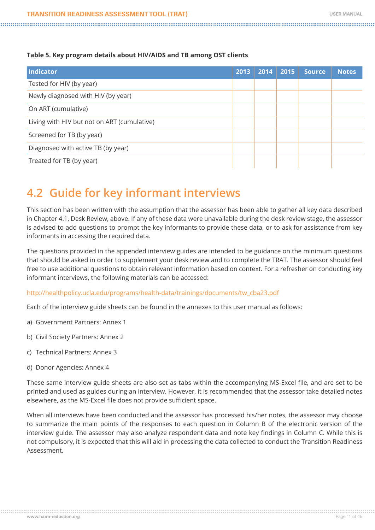#### <span id="page-10-0"></span>**Table 5. Key program details about HIV/AIDS and TB among OST clients**

| Indicator                                   | 2013 | 2014 | 2015 | <b>Source</b> | <b>Notes</b> |
|---------------------------------------------|------|------|------|---------------|--------------|
| Tested for HIV (by year)                    |      |      |      |               |              |
| Newly diagnosed with HIV (by year)          |      |      |      |               |              |
| On ART (cumulative)                         |      |      |      |               |              |
| Living with HIV but not on ART (cumulative) |      |      |      |               |              |
| Screened for TB (by year)                   |      |      |      |               |              |
| Diagnosed with active TB (by year)          |      |      |      |               |              |
| Treated for TB (by year)                    |      |      |      |               |              |

### **4.2 Guide for key informant interviews**

This section has been written with the assumption that the assessor has been able to gather all key data described in Chapter 4.1, Desk Review, above. If any of these data were unavailable during the desk review stage, the assessor is advised to add questions to prompt the key informants to provide these data, or to ask for assistance from key informants in accessing the required data.

The questions provided in the appended interview guides are intended to be guidance on the minimum questions that should be asked in order to supplement your desk review and to complete the TRAT. The assessor should feel free to use additional questions to obtain relevant information based on context. For a refresher on conducting key informant interviews, the following materials can be accessed:

[http://healthpolicy.ucla.edu/programs/health-data/trainings/documents/tw\\_cba23.pdf](http://healthpolicy.ucla.edu/programs/health-data/trainings/documents/tw_cba23.pdf)

Each of the interview guide sheets can be found in the annexes to this user manual as follows:

- a) Government Partners: Annex 1
- b) Civil Society Partners: Annex 2
- c) Technical Partners: Annex 3
- d) Donor Agencies: Annex 4

These same interview guide sheets are also set as tabs within the accompanying MS-Excel file, and are set to be printed and used as guides during an interview. However, it is recommended that the assessor take detailed notes elsewhere, as the MS-Excel file does not provide sufficient space.

When all interviews have been conducted and the assessor has processed his/her notes, the assessor may choose to summarize the main points of the responses to each question in Column B of the electronic version of the interview guide. The assessor may also analyze respondent data and note key findings in Column C. While this is not compulsory, it is expected that this will aid in processing the data collected to conduct the Transition Readiness Assessment.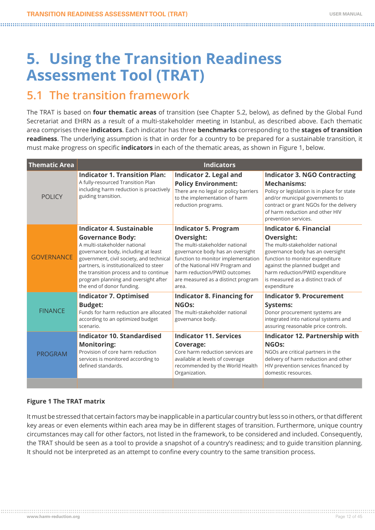# <span id="page-11-0"></span>**5. Using the Transition Readiness Assessment Tool (TRAT)**

### **5.1 The transition framework**

The TRAT is based on **four thematic areas** of transition (see Chapter 5.2, below), as defined by the Global Fund Secretariat and EHRN as a result of a multi-stakeholder meeting in Istanbul, as described above. Each thematic area comprises three **indicators**. Each indicator has three **benchmarks** corresponding to the **stages of transition readiness**. The underlying assumption is that in order for a country to be prepared for a sustainable transition, it must make progress on specific **indicators** in each of the thematic areas, as shown in Figure 1, below.

| <b>Thematic Area</b> | <b>Indicators</b>                                                                                                                                                                                                                                                                                                                |                                                                                                                                                                                                                                                                         |                                                                                                                                                                                                                                                                                       |  |  |  |  |  |  |
|----------------------|----------------------------------------------------------------------------------------------------------------------------------------------------------------------------------------------------------------------------------------------------------------------------------------------------------------------------------|-------------------------------------------------------------------------------------------------------------------------------------------------------------------------------------------------------------------------------------------------------------------------|---------------------------------------------------------------------------------------------------------------------------------------------------------------------------------------------------------------------------------------------------------------------------------------|--|--|--|--|--|--|
| <b>POLICY</b>        | <b>Indicator 1. Transition Plan:</b><br>A fully-resourced Transition Plan<br>including harm reduction is proactively<br>guiding transition.                                                                                                                                                                                      | <b>Indicator 2. Legal and</b><br><b>Policy Environment:</b><br>There are no legal or policy barriers<br>to the implementation of harm<br>reduction programs.                                                                                                            | <b>Indicator 3. NGO Contracting</b><br><b>Mechanisms:</b><br>Policy or legislation is in place for state<br>and/or municipal governments to<br>contract or grant NGOs for the delivery<br>of harm reduction and other HIV<br>prevention services.                                     |  |  |  |  |  |  |
| <b>GOVERNANCE</b>    | Indicator 4. Sustainable<br><b>Governance Body:</b><br>A multi-stakeholder national<br>governance body, including at least<br>government, civil society, and technical<br>partners, is institutionalized to steer<br>the transition process and to continue<br>program planning and oversight after<br>the end of donor funding. | <b>Indicator 5. Program</b><br>Oversight:<br>The multi-stakeholder national<br>governance body has an oversight<br>function to monitor implementation<br>of the National HIV Program and<br>harm reduction/PWID outcomes<br>are measured as a distinct program<br>area. | <b>Indicator 6. Financial</b><br><b>Oversight:</b><br>The multi-stakeholder national<br>governance body has an oversight<br>function to monitor expenditure<br>against the planned budget and<br>harm reduction/PWID expenditure<br>is measured as a distinct track of<br>expenditure |  |  |  |  |  |  |
| <b>FINANCE</b>       | <b>Indicator 7. Optimised</b><br><b>Budget:</b><br>Funds for harm reduction are allocated<br>according to an optimized budget<br>scenario.                                                                                                                                                                                       | <b>Indicator 8. Financing for</b><br>NGO <sub>s</sub> :<br>The multi-stakeholder national<br>governance body.                                                                                                                                                           | <b>Indicator 9. Procurement</b><br>Systems:<br>Donor procurement systems are<br>integrated into national systems and<br>assuring reasonable price controls.                                                                                                                           |  |  |  |  |  |  |
| <b>PROGRAM</b>       | <b>Indicator 10. Standardised</b><br><b>Monitoring:</b><br>Provision of core harm reduction<br>services is monitored according to<br>defined standards.                                                                                                                                                                          | <b>Indicator 11. Services</b><br>Coverage:<br>Core harm reduction services are<br>available at levels of coverage<br>recommended by the World Health<br>Organization.                                                                                                   | Indicator 12. Partnership with<br><b>NGOs:</b><br>NGOs are critical partners in the<br>delivery of harm reduction and other<br>HIV prevention services financed by<br>domestic resources.                                                                                             |  |  |  |  |  |  |
|                      |                                                                                                                                                                                                                                                                                                                                  |                                                                                                                                                                                                                                                                         |                                                                                                                                                                                                                                                                                       |  |  |  |  |  |  |

#### **Figure 1 The TRAT matrix**

It must be stressed that certain factors may be inapplicable in a particular country but less so in others, or that different key areas or even elements within each area may be in different stages of transition. Furthermore, unique country circumstances may call for other factors, not listed in the framework, to be considered and included. Consequently, the TRAT should be seen as a tool to provide a snapshot of a country's readiness; and to guide transition planning. It should not be interpreted as an attempt to confine every country to the same transition process.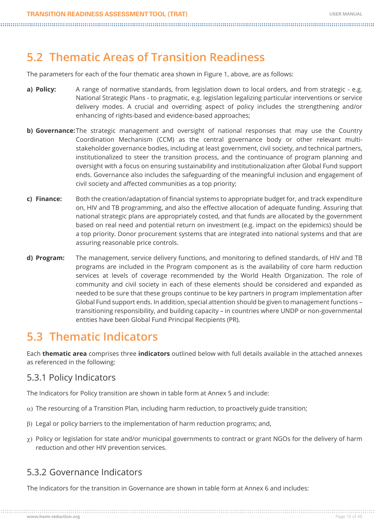### <span id="page-12-0"></span>**5.2 Thematic Areas of Transition Readiness**

The parameters for each of the four thematic area shown in Figure 1, above, are as follows:

- **a) Policy:** A range of normative standards, from legislation down to local orders, and from strategic e.g. National Strategic Plans - to pragmatic, e.g. legislation legalizing particular interventions or service delivery modes. A crucial and overriding aspect of policy includes the strengthening and/or enhancing of rights-based and evidence-based approaches;
- **b) Governance:**The strategic management and oversight of national responses that may use the Country Coordination Mechanism (CCM) as the central governance body or other relevant multistakeholder governance bodies, including at least government, civil society, and technical partners, institutionalized to steer the transition process, and the continuance of program planning and oversight with a focus on ensuring sustainability and institutionalization after Global Fund support ends. Governance also includes the safeguarding of the meaningful inclusion and engagement of civil society and affected communities as a top priority;
- **c) Finance:** Both the creation/adaptation of financial systems to appropriate budget for, and track expenditure on, HIV and TB programming, and also the effective allocation of adequate funding. Assuring that national strategic plans are appropriately costed, and that funds are allocated by the government based on real need and potential return on investment (e.g. impact on the epidemics) should be a top priority. Donor procurement systems that are integrated into national systems and that are assuring reasonable price controls.
- **d) Program:** The management, service delivery functions, and monitoring to defined standards, of HIV and TB programs are included in the Program component as is the availability of core harm reduction services at levels of coverage recommended by the World Health Organization. The role of community and civil society in each of these elements should be considered and expanded as needed to be sure that these groups continue to be key partners in program implementation after Global Fund support ends. In addition, special attention should be given to management functions – transitioning responsibility, and building capacity – in countries where UNDP or non-governmental entities have been Global Fund Principal Recipients (PR).

### **5.3 Thematic Indicators**

Each **thematic area** comprises three **indicators** outlined below with full details available in the attached annexes as referenced in the following:

#### 5.3.1 Policy Indicators

The Indicators for Policy transition are shown in table form at Annex 5 and include:

- $\alpha$ ) The resourcing of a Transition Plan, including harm reduction, to proactively guide transition;
- $\beta$ ) Legal or policy barriers to the implementation of harm reduction programs; and,
- $\chi$ ) Policy or legislation for state and/or municipal governments to contract or grant NGOs for the delivery of harm reduction and other HIV prevention services.

#### 5.3.2 Governance Indicators

The Indicators for the transition in Governance are shown in table form at Annex 6 and includes: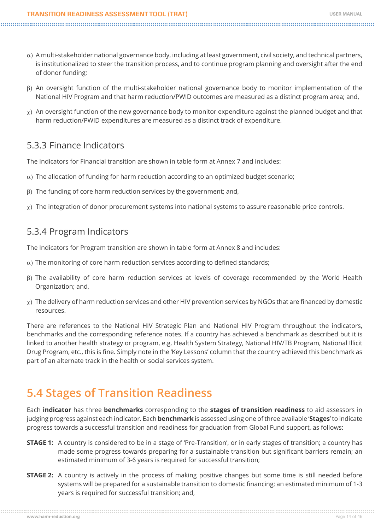- <span id="page-13-0"></span> $\alpha$ ) A multi-stakeholder national governance body, including at least government, civil society, and technical partners, is institutionalized to steer the transition process, and to continue program planning and oversight after the end of donor funding;
- b) An oversight function of the multi-stakeholder national governance body to monitor implementation of the National HIV Program and that harm reduction/PWID outcomes are measured as a distinct program area; and,
- $\chi$ ) An oversight function of the new governance body to monitor expenditure against the planned budget and that harm reduction/PWID expenditures are measured as a distinct track of expenditure.

#### 5.3.3 Finance Indicators

The Indicators for Financial transition are shown in table form at Annex 7 and includes:

- $\alpha$ ) The allocation of funding for harm reduction according to an optimized budget scenario;
- $\beta$ ) The funding of core harm reduction services by the government; and,
- $\chi$ ) The integration of donor procurement systems into national systems to assure reasonable price controls.

#### 5.3.4 Program Indicators

The Indicators for Program transition are shown in table form at Annex 8 and includes:

- $\alpha$ ) The monitoring of core harm reduction services according to defined standards;
- $\beta$ ) The availability of core harm reduction services at levels of coverage recommended by the World Health Organization; and,
- $\chi$ ) The delivery of harm reduction services and other HIV prevention services by NGOs that are financed by domestic resources.

There are references to the National HIV Strategic Plan and National HIV Program throughout the indicators, benchmarks and the corresponding reference notes. If a country has achieved a benchmark as described but it is linked to another health strategy or program, e.g. Health System Strategy, National HIV/TB Program, National Illicit Drug Program, etc., this is fine. Simply note in the 'Key Lessons' column that the country achieved this benchmark as part of an alternate track in the health or social services system.

### **5.4 Stages of Transition Readiness**

Each **indicator** has three **benchmarks** corresponding to the **stages of transition readiness** to aid assessors in judging progress against each indicator. Each **benchmark** is assessed using one of three available '**Stages**' to indicate progress towards a successful transition and readiness for graduation from Global Fund support, as follows:

- **STAGE 1:** A country is considered to be in a stage of 'Pre-Transition', or in early stages of transition; a country has made some progress towards preparing for a sustainable transition but significant barriers remain; an estimated minimum of 3-6 years is required for successful transition;
- **STAGE 2:** A country is actively in the process of making positive changes but some time is still needed before systems will be prepared for a sustainable transition to domestic financing; an estimated minimum of 1-3 years is required for successful transition; and,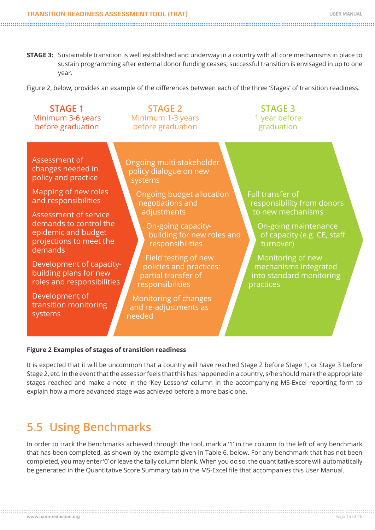<span id="page-14-0"></span>**STAGE 3:** Sustainable transition is well established and underway in a country with all core mechanisms in place to sustain programming after external donor funding ceases; successful transition is envisaged in up to one year.

Figure 2, below, provides an example of the differences between each of the three 'Stages' of transition readiness.

| <b>STAGE 1</b><br>Minimum 3-6 years<br>before graduation                                                     | <b>STAGE 2</b><br>Minimum 1-3 years<br>before graduation                                   | <b>STAGE 3</b><br>1 year before<br>graduation                                         |
|--------------------------------------------------------------------------------------------------------------|--------------------------------------------------------------------------------------------|---------------------------------------------------------------------------------------|
| Assessment of<br>changes needed in<br>policy and practice                                                    | Ongoing multi-stakeholder<br>policy dialogue on new<br>systems                             |                                                                                       |
| Mapping of new roles<br>and responsibilities                                                                 | Ongoing budget allocation<br>negotiations and                                              | Full transfer of<br>responsibility from donors                                        |
| Assessment of service<br>demands to control the<br>epidemic and budget<br>projections to meet the<br>demands | adjustments<br>On-going capacity-<br>building for new roles and<br>responsibilities        | to new mechanisms<br>On-going maintenance<br>of capacity (e.g. CE, staff<br>turnover) |
| Development of capacity-<br>building plans for new<br>roles and responsibilities                             | Field testing of new<br>policies and practices;<br>partial transfer of<br>responsibilities | Monitoring of new<br>mechanisms integrated<br>into standard monitoring<br>practices   |
| Development of<br>transition monitoring<br>systems                                                           | Monitoring of changes<br>and re-adjustments as<br>needed                                   |                                                                                       |

#### **Figure 2 Examples of stages of transition readiness**

It is expected that it will be uncommon that a country will have reached Stage 2 before Stage 1, or Stage 3 before Stage 2, etc. In the event that the assessor feels that this has happened in a country, s/he should mark the appropriate stages reached and make a note in the 'Key Lessons' column in the accompanying MS-Excel reporting form to explain how a more advanced stage was achieved before a more basic one.

### **5.5 Using Benchmarks**

In order to track the benchmarks achieved through the tool, mark a '1' in the column to the left of any benchmark that has been completed, as shown by the example given in Table 6, below. For any benchmark that has not been completed, you may enter '0' or leave the tally column blank. When you do so, the quantitative score will automatically be generated in the Quantitative Score Summary tab in the MS-Excel file that accompanies this User Manual.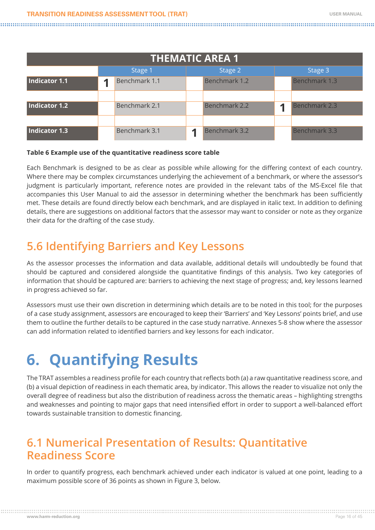#### **TRANSITION READINESS ASSESSMENT TOOL (TRAT) USER MANUAL**

<span id="page-15-0"></span>

| <b>THEMATIC AREA 1</b> |   |               |  |               |  |               |  |
|------------------------|---|---------------|--|---------------|--|---------------|--|
|                        |   | Stage 1       |  | Stage 2       |  | Stage 3       |  |
| Indicator 1.1          | ◀ | Benchmark 1.1 |  | Benchmark 1.2 |  | Benchmark 1.3 |  |
|                        |   |               |  |               |  |               |  |
| Indicator 1.2          |   | Benchmark 2.1 |  | Benchmark 2.2 |  | Benchmark 2.3 |  |
|                        |   |               |  |               |  |               |  |
| Indicator 1.3          |   | Benchmark 3.1 |  | Benchmark 3.2 |  | Benchmark 3.3 |  |

#### **Table 6 Example use of the quantitative readiness score table**

Each Benchmark is designed to be as clear as possible while allowing for the differing context of each country. Where there may be complex circumstances underlying the achievement of a benchmark, or where the assessor's judgment is particularly important, reference notes are provided in the relevant tabs of the MS-Excel file that accompanies this User Manual to aid the assessor in determining whether the benchmark has been sufficiently met. These details are found directly below each benchmark, and are displayed in italic text. In addition to defining details, there are suggestions on additional factors that the assessor may want to consider or note as they organize their data for the drafting of the case study.

### **5.6 Identifying Barriers and Key Lessons**

As the assessor processes the information and data available, additional details will undoubtedly be found that should be captured and considered alongside the quantitative findings of this analysis. Two key categories of information that should be captured are: barriers to achieving the next stage of progress; and, key lessons learned in progress achieved so far.

Assessors must use their own discretion in determining which details are to be noted in this tool; for the purposes of a case study assignment, assessors are encouraged to keep their 'Barriers' and 'Key Lessons' points brief, and use them to outline the further details to be captured in the case study narrative. Annexes 5-8 show where the assessor can add information related to identified barriers and key lessons for each indicator.

# **6. Quantifying Results**

The TRAT assembles a readiness profile for each country that reflects both (a) a raw quantitative readiness score, and (b) a visual depiction of readiness in each thematic area, by indicator. This allows the reader to visualize not only the overall degree of readiness but also the distribution of readiness across the thematic areas – highlighting strengths and weaknesses and pointing to major gaps that need intensified effort in order to support a well-balanced effort towards sustainable transition to domestic financing.

### **6.1 Numerical Presentation of Results: Quantitative Readiness Score**

In order to quantify progress, each benchmark achieved under each indicator is valued at one point, leading to a maximum possible score of 36 points as shown in Figure 3, below.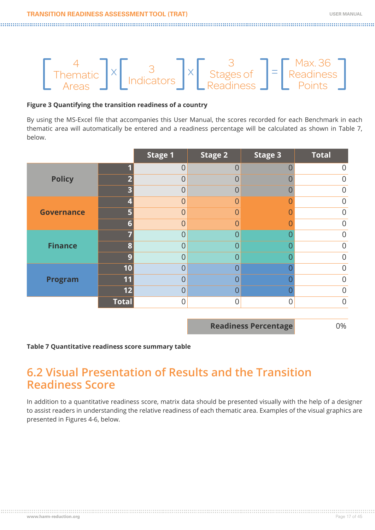<span id="page-16-0"></span>

#### **Figure 3 Quantifying the transition readiness of a country**

By using the MS-Excel file that accompanies this User Manual, the scores recorded for each Benchmark in each thematic area will automatically be entered and a readiness percentage will be calculated as shown in Table 7, below.

|                   |              | <b>Stage 1</b> | <b>Stage 2</b> | <b>Stage 3</b> | <b>Total</b>     |
|-------------------|--------------|----------------|----------------|----------------|------------------|
|                   |              | $\overline{0}$ | $\overline{0}$ |                | $\overline{0}$   |
| <b>Policy</b>     |              | $\overline{0}$ | $\overline{0}$ |                | $\overline{0}$   |
|                   |              | 0              | ∩              |                | $\overline{0}$   |
|                   |              | $\overline{0}$ | $\Omega$       |                | $\mathbf 0$      |
| <b>Governance</b> |              | $\overline{0}$ | ∩              |                | $\overline{0}$   |
|                   | Б            | $\overline{0}$ | ∩              |                | $\mathbf 0$      |
|                   |              | $\overline{0}$ | $\Omega$       |                | $\overline{0}$   |
| <b>Finance</b>    |              | $\overline{0}$ | 0              |                | $\overline{0}$   |
|                   | ( ه          | $\overline{0}$ | ∩              |                | $\mathbf 0$      |
|                   | 10           | $\overline{0}$ | 0              |                | $\overline{0}$   |
| <b>Program</b>    | 11           | $\overline{0}$ | ∩              |                | $\boldsymbol{0}$ |
|                   | 12           | $\overline{0}$ | $\overline{0}$ |                | $\mathbf 0$      |
|                   | <b>Total</b> | 0              |                |                | $\overline{0}$   |

**Readiness Percentage** 0%

#### **Table 7 Quantitative readiness score summary table**

### **6.2 Visual Presentation of Results and the Transition Readiness Score**

In addition to a quantitative readiness score, matrix data should be presented visually with the help of a designer to assist readers in understanding the relative readiness of each thematic area. Examples of the visual graphics are presented in Figures 4-6, below.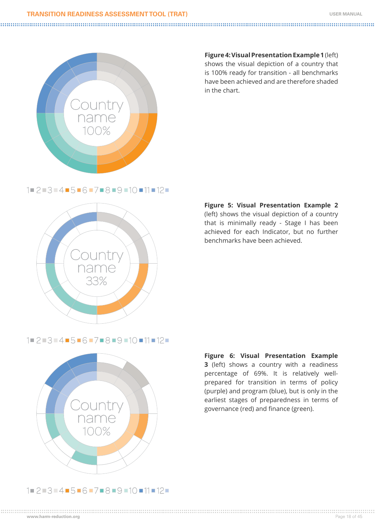#### **TRANSITION READINESS ASSESSMENT TOOL (TRAT) USER MANUAL**



**Figure 4: Visual Presentation Example 1** (left) shows the visual depiction of a country that is 100% ready for transition - all benchmarks have been achieved and are therefore shaded in the chart.

 $1$   $2$   $3$   $3$   $4$   $15$   $-6$   $-7$   $-8$   $-9$   $-10$   $-11$   $-12$   $-$ 



**Figure 5: Visual Presentation Example 2** (left) shows the visual depiction of a country that is minimally ready - Stage I has been achieved for each Indicator, but no further benchmarks have been achieved.

1 2 3 4 5 6 7 8 9 10 11 12



**Figure 6: Visual Presentation Example 3** (left) shows a country with a readiness percentage of 69%. It is relatively wellprepared for transition in terms of policy (purple) and program (blue), but is only in the earliest stages of preparedness in terms of governance (red) and finance (green).

#### $1$  2 3 4 4 5 6 - 7 - 8 - 9 - 10 - 11 - 12 -

**www.harm-reduction.org** Page 18 of 45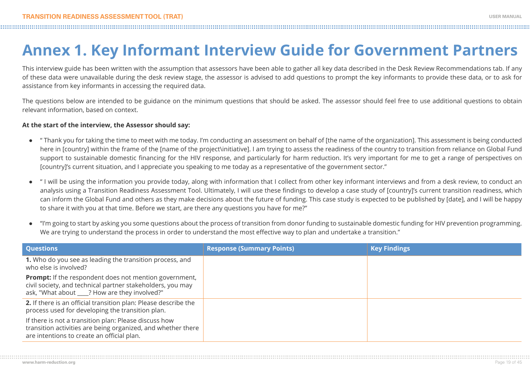# **Annex 1. Key Informant Interview Guide for Government Partners**

This interview guide has been written with the assumption that assessors have been able to gather all key data described in the Desk Review Recommendations tab. If any of these data were unavailable during the desk review stage, the assessor is advised to add questions to prompt the key informants to provide these data, or to ask for assistance from key informants in accessing the required data.

The questions below are intended to be guidance on the minimum questions that should be asked. The assessor should feel free to use additional questions to obtain relevant information, based on context.

#### **At the start of the interview, the Assessor should say:**

- **●** " Thank you for taking the time to meet with me today. I'm conducting an assessment on behalf of [the name of the organization]. This assessment is being conducted here in [country] within the frame of the [name of the project\initiative]. I am trying to assess the readiness of the country to transition from reliance on Global Fund support to sustainable domestic financing for the HIV response, and particularly for harm reduction. It's very important for me to get a range of perspectives on [country]'s current situation, and I appreciate you speaking to me today as a representative of the government sector."
- **●** " I will be using the information you provide today, along with information that I collect from other key informant interviews and from a desk review, to conduct an analysis using a Transition Readiness Assessment Tool. Ultimately, I will use these findings to develop a case study of [country]'s current transition readiness, which can inform the Global Fund and others as they make decisions about the future of funding. This case study is expected to be published by [date], and I will be happy to share it with you at that time. Before we start, are there any questions you have for me?"
- **●** "I'm going to start by asking you some questions about the process of transition from donor funding to sustainable domestic funding for HIV prevention programming. We are trying to understand the process in order to understand the most effective way to plan and undertake a transition."

| <b>Questions</b>                                                                                                                                                             | <b>Response (Summary Points)</b> | <b>Key Findings</b> |
|------------------------------------------------------------------------------------------------------------------------------------------------------------------------------|----------------------------------|---------------------|
| 1. Who do you see as leading the transition process, and<br>who else is involved?                                                                                            |                                  |                     |
| <b>Prompt:</b> If the respondent does not mention government,<br>civil society, and technical partner stakeholders, you may<br>ask, "What about ___? How are they involved?" |                                  |                     |
| 2. If there is an official transition plan: Please describe the<br>process used for developing the transition plan.                                                          |                                  |                     |
| If there is not a transition plan: Please discuss how<br>transition activities are being organized, and whether there<br>are intentions to create an official plan.          |                                  |                     |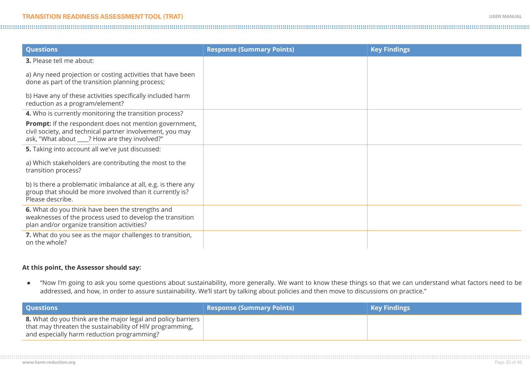| <b>Questions</b>                                                                                                                                                             | <b>Response (Summary Points)</b> | <b>Key Findings</b> |
|------------------------------------------------------------------------------------------------------------------------------------------------------------------------------|----------------------------------|---------------------|
| <b>3.</b> Please tell me about:                                                                                                                                              |                                  |                     |
| a) Any need projection or costing activities that have been<br>done as part of the transition planning process;                                                              |                                  |                     |
| b) Have any of these activities specifically included harm<br>reduction as a program/element?                                                                                |                                  |                     |
| 4. Who is currently monitoring the transition process?                                                                                                                       |                                  |                     |
| <b>Prompt:</b> If the respondent does not mention government,<br>civil society, and technical partner involvement, you may<br>ask, "What about ____? How are they involved?" |                                  |                     |
| 5. Taking into account all we've just discussed:                                                                                                                             |                                  |                     |
| a) Which stakeholders are contributing the most to the<br>transition process?                                                                                                |                                  |                     |
| b) Is there a problematic imbalance at all, e.g. is there any<br>group that should be more involved than it currently is?<br>Please describe.                                |                                  |                     |
| 6. What do you think have been the strengths and<br>weaknesses of the process used to develop the transition<br>plan and/or organize transition activities?                  |                                  |                     |
| 7. What do you see as the major challenges to transition,<br>on the whole?                                                                                                   |                                  |                     |

#### **At this point, the Assessor should say:**

**●** "Now I'm going to ask you some questions about sustainability, more generally. We want to know these things so that we can understand what factors need to be addressed, and how, in order to assure sustainability. We'll start by talking about policies and then move to discussions on practice."

| <b>Questions</b>                                                                                                                                                              | Response (Summary Points) <sub> </sub> | <b>Key Findings</b> |
|-------------------------------------------------------------------------------------------------------------------------------------------------------------------------------|----------------------------------------|---------------------|
| <b>8.</b> What do you think are the major legal and policy barriers<br>that may threaten the sustainability of HIV programming,<br>and especially harm reduction programming? |                                        |                     |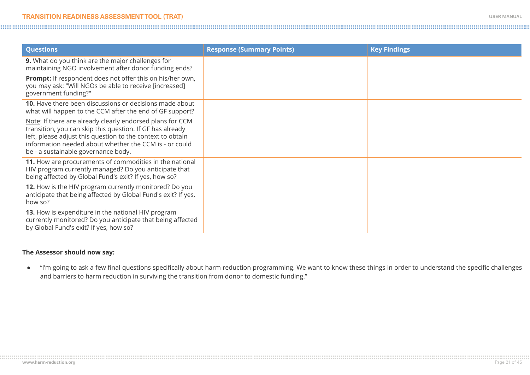| <b>Questions</b>                                                                                                                                                                                                                                                                      | <b>Response (Summary Points)</b> | <b>Key Findings</b> |
|---------------------------------------------------------------------------------------------------------------------------------------------------------------------------------------------------------------------------------------------------------------------------------------|----------------------------------|---------------------|
| 9. What do you think are the major challenges for<br>maintaining NGO involvement after donor funding ends?                                                                                                                                                                            |                                  |                     |
| <b>Prompt:</b> If respondent does not offer this on his/her own,<br>you may ask: "Will NGOs be able to receive [increased]<br>government funding?"                                                                                                                                    |                                  |                     |
| <b>10.</b> Have there been discussions or decisions made about<br>what will happen to the CCM after the end of GF support?                                                                                                                                                            |                                  |                     |
| Note: If there are already clearly endorsed plans for CCM<br>transition, you can skip this question. If GF has already<br>left, please adjust this question to the context to obtain<br>information needed about whether the CCM is - or could<br>be - a sustainable governance body. |                                  |                     |
| 11. How are procurements of commodities in the national<br>HIV program currently managed? Do you anticipate that<br>being affected by Global Fund's exit? If yes, how so?                                                                                                             |                                  |                     |
| 12. How is the HIV program currently monitored? Do you<br>anticipate that being affected by Global Fund's exit? If yes,<br>how so?                                                                                                                                                    |                                  |                     |
| <b>13.</b> How is expenditure in the national HIV program<br>currently monitored? Do you anticipate that being affected<br>by Global Fund's exit? If yes, how so?                                                                                                                     |                                  |                     |

#### **The Assessor should now say:**

**●** "I'm going to ask a few final questions specifically about harm reduction programming. We want to know these things in order to understand the specific challenges and barriers to harm reduction in surviving the transition from donor to domestic funding."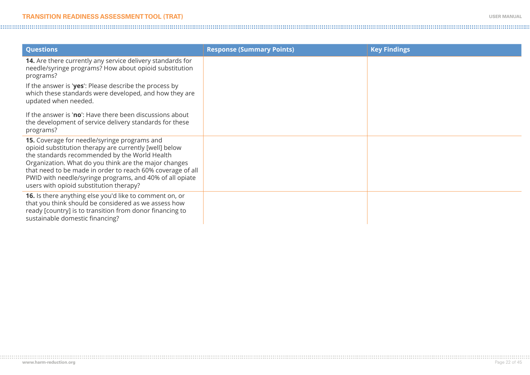| <b>Questions</b>                                                                                                                                                                                                                                                                                                                                                                      | <b>Response (Summary Points)</b> | <b>Key Findings</b> |
|---------------------------------------------------------------------------------------------------------------------------------------------------------------------------------------------------------------------------------------------------------------------------------------------------------------------------------------------------------------------------------------|----------------------------------|---------------------|
| 14. Are there currently any service delivery standards for<br>needle/syringe programs? How about opioid substitution<br>programs?                                                                                                                                                                                                                                                     |                                  |                     |
| If the answer is 'yes': Please describe the process by<br>which these standards were developed, and how they are<br>updated when needed.                                                                                                                                                                                                                                              |                                  |                     |
| If the answer is 'no': Have there been discussions about<br>the development of service delivery standards for these<br>programs?                                                                                                                                                                                                                                                      |                                  |                     |
| 15. Coverage for needle/syringe programs and<br>opioid substitution therapy are currently [well] below<br>the standards recommended by the World Health<br>Organization. What do you think are the major changes<br>that need to be made in order to reach 60% coverage of all<br>PWID with needle/syringe programs, and 40% of all opiate<br>users with opioid substitution therapy? |                                  |                     |
| 16. Is there anything else you'd like to comment on, or<br>that you think should be considered as we assess how<br>ready [country] is to transition from donor financing to<br>sustainable domestic financing?                                                                                                                                                                        |                                  |                     |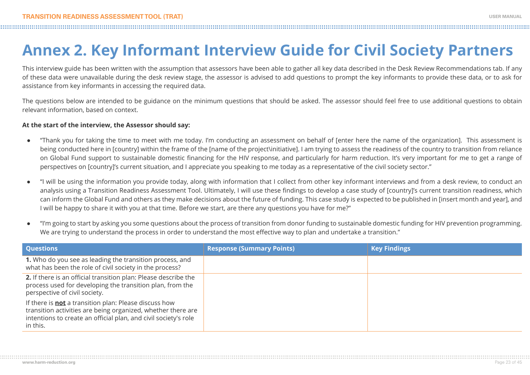# **Annex 2. Key Informant Interview Guide for Civil Society Partners**

This interview guide has been written with the assumption that assessors have been able to gather all key data described in the Desk Review Recommendations tab. If any of these data were unavailable during the desk review stage, the assessor is advised to add questions to prompt the key informants to provide these data, or to ask for assistance from key informants in accessing the required data.

The questions below are intended to be guidance on the minimum questions that should be asked. The assessor should feel free to use additional questions to obtain relevant information, based on context.

#### **At the start of the interview, the Assessor should say:**

- **●** "Thank you for taking the time to meet with me today. I'm conducting an assessment on behalf of [enter here the name of the organization]. This assessment is being conducted here in [country] within the frame of the [name of the project\initiative]. I am trying to assess the readiness of the country to transition from reliance on Global Fund support to sustainable domestic financing for the HIV response, and particularly for harm reduction. It's very important for me to get a range of perspectives on [country]'s current situation, and I appreciate you speaking to me today as a representative of the civil society sector."
- **●** "I will be using the information you provide today, along with information that I collect from other key informant interviews and from a desk review, to conduct an analysis using a Transition Readiness Assessment Tool. Ultimately, I will use these findings to develop a case study of [country]'s current transition readiness, which can inform the Global Fund and others as they make decisions about the future of funding. This case study is expected to be published in [insert month and year], and I will be happy to share it with you at that time. Before we start, are there any questions you have for me?"
- **●** "I'm going to start by asking you some questions about the process of transition from donor funding to sustainable domestic funding for HIV prevention programming. We are trying to understand the process in order to understand the most effective way to plan and undertake a transition."

| <b>Questions</b>                                                                                                                                                                                            | <b>Response (Summary Points)</b> | <b>Key Findings</b> |
|-------------------------------------------------------------------------------------------------------------------------------------------------------------------------------------------------------------|----------------------------------|---------------------|
| 1. Who do you see as leading the transition process, and<br>what has been the role of civil society in the process?                                                                                         |                                  |                     |
| 2. If there is an official transition plan: Please describe the<br>process used for developing the transition plan, from the<br>perspective of civil society.                                               |                                  |                     |
| If there is <b>not</b> a transition plan: Please discuss how<br>transition activities are being organized, whether there are<br>intentions to create an official plan, and civil society's role<br>in this. |                                  |                     |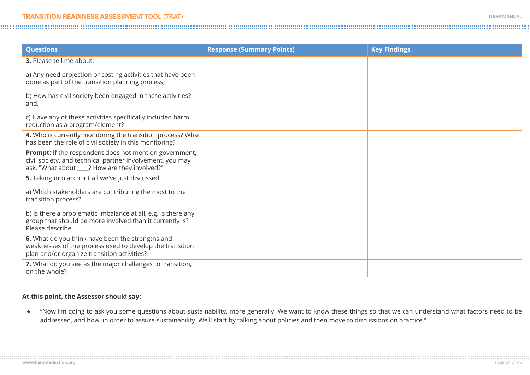| <b>Questions</b>                                                                                                                                                             | <b>Response (Summary Points)</b> | <b>Key Findings</b> |
|------------------------------------------------------------------------------------------------------------------------------------------------------------------------------|----------------------------------|---------------------|
| <b>3.</b> Please tell me about:                                                                                                                                              |                                  |                     |
| a) Any need projection or costing activities that have been<br>done as part of the transition planning process;                                                              |                                  |                     |
| b) How has civil society been engaged in these activities?<br>and,                                                                                                           |                                  |                     |
| c) Have any of these activities specifically included harm<br>reduction as a program/element?                                                                                |                                  |                     |
| 4. Who is currently monitoring the transition process? What<br>has been the role of civil society in this monitoring?                                                        |                                  |                     |
| <b>Prompt:</b> If the respondent does not mention government,<br>civil society, and technical partner involvement, you may<br>ask, "What about ____? How are they involved?" |                                  |                     |
| <b>5.</b> Taking into account all we've just discussed:                                                                                                                      |                                  |                     |
| a) Which stakeholders are contributing the most to the<br>transition process?                                                                                                |                                  |                     |
| b) Is there a problematic imbalance at all, e.g. is there any<br>group that should be more involved than it currently is?<br>Please describe.                                |                                  |                     |
| 6. What do you think have been the strengths and<br>weaknesses of the process used to develop the transition<br>plan and/or organize transition activities?                  |                                  |                     |
| 7. What do you see as the major challenges to transition,<br>on the whole?                                                                                                   |                                  |                     |

#### **At this point, the Assessor should say:**

**●** "Now I'm going to ask you some questions about sustainability, more generally. We want to know these things so that we can understand what factors need to be addressed, and how, in order to assure sustainability. We'll start by talking about policies and then move to discussions on practice."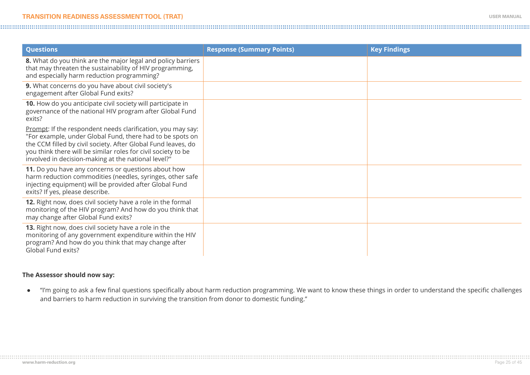| <b>Questions</b>                                                                                                                                                                                                                                                                                                  | <b>Response (Summary Points)</b> | <b>Key Findings</b> |
|-------------------------------------------------------------------------------------------------------------------------------------------------------------------------------------------------------------------------------------------------------------------------------------------------------------------|----------------------------------|---------------------|
| 8. What do you think are the major legal and policy barriers<br>that may threaten the sustainability of HIV programming,<br>and especially harm reduction programming?                                                                                                                                            |                                  |                     |
| 9. What concerns do you have about civil society's<br>engagement after Global Fund exits?                                                                                                                                                                                                                         |                                  |                     |
| 10. How do you anticipate civil society will participate in<br>governance of the national HIV program after Global Fund<br>exits?                                                                                                                                                                                 |                                  |                     |
| Prompt: If the respondent needs clarification, you may say:<br>"For example, under Global Fund, there had to be spots on<br>the CCM filled by civil society. After Global Fund leaves, do<br>you think there will be similar roles for civil society to be<br>involved in decision-making at the national level?" |                                  |                     |
| 11. Do you have any concerns or questions about how<br>harm reduction commodities (needles, syringes, other safe<br>injecting equipment) will be provided after Global Fund<br>exits? If yes, please describe.                                                                                                    |                                  |                     |
| 12. Right now, does civil society have a role in the formal<br>monitoring of the HIV program? And how do you think that<br>may change after Global Fund exits?                                                                                                                                                    |                                  |                     |
| 13. Right now, does civil society have a role in the<br>monitoring of any government expenditure within the HIV<br>program? And how do you think that may change after<br>Global Fund exits?                                                                                                                      |                                  |                     |

#### **The Assessor should now say:**

**●** "I'm going to ask a few final questions specifically about harm reduction programming. We want to know these things in order to understand the specific challenges and barriers to harm reduction in surviving the transition from donor to domestic funding."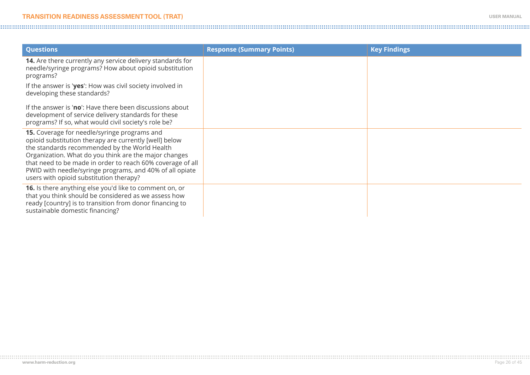| <b>Questions</b>                                                                                                                                                                                                                                                                                                                                                                      | <b>Response (Summary Points)</b> | <b>Key Findings</b> |
|---------------------------------------------------------------------------------------------------------------------------------------------------------------------------------------------------------------------------------------------------------------------------------------------------------------------------------------------------------------------------------------|----------------------------------|---------------------|
| 14. Are there currently any service delivery standards for<br>needle/syringe programs? How about opioid substitution<br>programs?                                                                                                                                                                                                                                                     |                                  |                     |
| If the answer is 'yes': How was civil society involved in<br>developing these standards?                                                                                                                                                                                                                                                                                              |                                  |                     |
| If the answer is 'no': Have there been discussions about<br>development of service delivery standards for these<br>programs? If so, what would civil society's role be?                                                                                                                                                                                                               |                                  |                     |
| 15. Coverage for needle/syringe programs and<br>opioid substitution therapy are currently [well] below<br>the standards recommended by the World Health<br>Organization. What do you think are the major changes<br>that need to be made in order to reach 60% coverage of all<br>PWID with needle/syringe programs, and 40% of all opiate<br>users with opioid substitution therapy? |                                  |                     |
| 16. Is there anything else you'd like to comment on, or<br>that you think should be considered as we assess how<br>ready [country] is to transition from donor financing to<br>sustainable domestic financing?                                                                                                                                                                        |                                  |                     |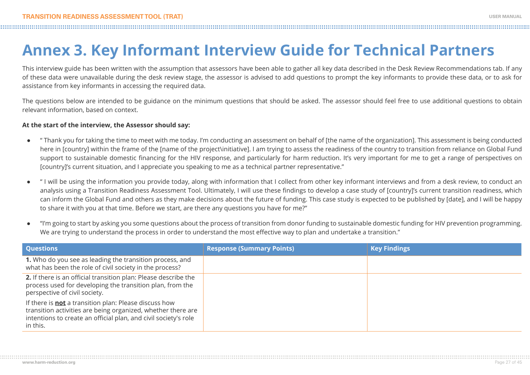# **Annex 3. Key Informant Interview Guide for Technical Partners**

This interview guide has been written with the assumption that assessors have been able to gather all key data described in the Desk Review Recommendations tab. If any of these data were unavailable during the desk review stage, the assessor is advised to add questions to prompt the key informants to provide these data, or to ask for assistance from key informants in accessing the required data.

The questions below are intended to be guidance on the minimum questions that should be asked. The assessor should feel free to use additional questions to obtain relevant information, based on context.

#### **At the start of the interview, the Assessor should say:**

- **●** " Thank you for taking the time to meet with me today. I'm conducting an assessment on behalf of [the name of the organization]. This assessment is being conducted here in [country] within the frame of the [name of the project\initiative]. I am trying to assess the readiness of the country to transition from reliance on Global Fund support to sustainable domestic financing for the HIV response, and particularly for harm reduction. It's very important for me to get a range of perspectives on [country]'s current situation, and I appreciate you speaking to me as a technical partner representative."
- **●** " I will be using the information you provide today, along with information that I collect from other key informant interviews and from a desk review, to conduct an analysis using a Transition Readiness Assessment Tool. Ultimately, I will use these findings to develop a case study of [country]'s current transition readiness, which can inform the Global Fund and others as they make decisions about the future of funding. This case study is expected to be published by [date], and I will be happy to share it with you at that time. Before we start, are there any questions you have for me?"
- **●** "I'm going to start by asking you some questions about the process of transition from donor funding to sustainable domestic funding for HIV prevention programming. We are trying to understand the process in order to understand the most effective way to plan and undertake a transition."

| <b>Questions</b>                                                                                                                                                                                            | <b>Response (Summary Points)</b> | <b>Key Findings</b> |
|-------------------------------------------------------------------------------------------------------------------------------------------------------------------------------------------------------------|----------------------------------|---------------------|
| 1. Who do you see as leading the transition process, and<br>what has been the role of civil society in the process?                                                                                         |                                  |                     |
| 2. If there is an official transition plan: Please describe the<br>process used for developing the transition plan, from the<br>perspective of civil society.                                               |                                  |                     |
| If there is <b>not</b> a transition plan: Please discuss how<br>transition activities are being organized, whether there are<br>intentions to create an official plan, and civil society's role<br>in this. |                                  |                     |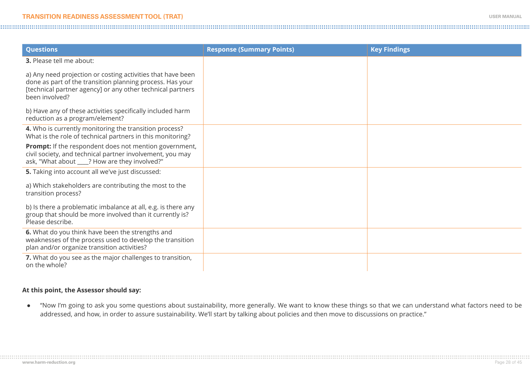| <b>Questions</b>                                                                                                                                                                                         | <b>Response (Summary Points)</b> | <b>Key Findings</b> |
|----------------------------------------------------------------------------------------------------------------------------------------------------------------------------------------------------------|----------------------------------|---------------------|
| 3. Please tell me about:                                                                                                                                                                                 |                                  |                     |
| a) Any need projection or costing activities that have been<br>done as part of the transition planning process. Has your<br>[technical partner agency] or any other technical partners<br>been involved? |                                  |                     |
| b) Have any of these activities specifically included harm<br>reduction as a program/element?                                                                                                            |                                  |                     |
| 4. Who is currently monitoring the transition process?<br>What is the role of technical partners in this monitoring?                                                                                     |                                  |                     |
| <b>Prompt:</b> If the respondent does not mention government,<br>civil society, and technical partner involvement, you may<br>ask, "What about ___? How are they involved?"                              |                                  |                     |
| 5. Taking into account all we've just discussed:                                                                                                                                                         |                                  |                     |
| a) Which stakeholders are contributing the most to the<br>transition process?                                                                                                                            |                                  |                     |
| b) Is there a problematic imbalance at all, e.g. is there any<br>group that should be more involved than it currently is?<br>Please describe.                                                            |                                  |                     |
| 6. What do you think have been the strengths and<br>weaknesses of the process used to develop the transition<br>plan and/or organize transition activities?                                              |                                  |                     |
| 7. What do you see as the major challenges to transition,<br>on the whole?                                                                                                                               |                                  |                     |

#### **At this point, the Assessor should say:**

**●** "Now I'm going to ask you some questions about sustainability, more generally. We want to know these things so that we can understand what factors need to be addressed, and how, in order to assure sustainability. We'll start by talking about policies and then move to discussions on practice."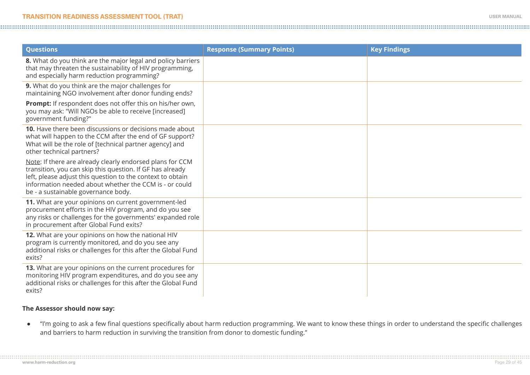| <b>Questions</b>                                                                                                                                                                                                                                                                      | <b>Response (Summary Points)</b> | <b>Key Findings</b> |
|---------------------------------------------------------------------------------------------------------------------------------------------------------------------------------------------------------------------------------------------------------------------------------------|----------------------------------|---------------------|
| 8. What do you think are the major legal and policy barriers<br>that may threaten the sustainability of HIV programming,<br>and especially harm reduction programming?                                                                                                                |                                  |                     |
| 9. What do you think are the major challenges for<br>maintaining NGO involvement after donor funding ends?                                                                                                                                                                            |                                  |                     |
| <b>Prompt:</b> If respondent does not offer this on his/her own,<br>you may ask: "Will NGOs be able to receive [increased]<br>government funding?"                                                                                                                                    |                                  |                     |
| 10. Have there been discussions or decisions made about<br>what will happen to the CCM after the end of GF support?<br>What will be the role of [technical partner agency] and<br>other technical partners?                                                                           |                                  |                     |
| Note: If there are already clearly endorsed plans for CCM<br>transition, you can skip this question. If GF has already<br>left, please adjust this question to the context to obtain<br>information needed about whether the CCM is - or could<br>be - a sustainable governance body. |                                  |                     |
| 11. What are your opinions on current government-led<br>procurement efforts in the HIV program, and do you see<br>any risks or challenges for the governments' expanded role<br>in procurement after Global Fund exits?                                                               |                                  |                     |
| 12. What are your opinions on how the national HIV<br>program is currently monitored, and do you see any<br>additional risks or challenges for this after the Global Fund<br>exits?                                                                                                   |                                  |                     |
| 13. What are your opinions on the current procedures for<br>monitoring HIV program expenditures, and do you see any<br>additional risks or challenges for this after the Global Fund<br>exits?                                                                                        |                                  |                     |

#### **The Assessor should now say:**

**●** "I'm going to ask a few final questions specifically about harm reduction programming. We want to know these things in order to understand the specific challenges and barriers to harm reduction in surviving the transition from donor to domestic funding."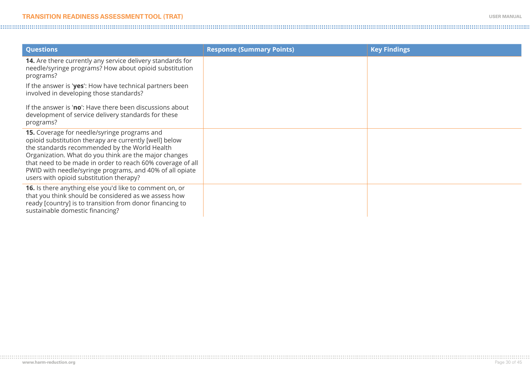| <b>Questions</b>                                                                                                                                                                                                                                                                                                                                                                      | <b>Response (Summary Points)</b> | <b>Key Findings</b> |
|---------------------------------------------------------------------------------------------------------------------------------------------------------------------------------------------------------------------------------------------------------------------------------------------------------------------------------------------------------------------------------------|----------------------------------|---------------------|
| 14. Are there currently any service delivery standards for<br>needle/syringe programs? How about opioid substitution<br>programs?                                                                                                                                                                                                                                                     |                                  |                     |
| If the answer is 'yes': How have technical partners been<br>involved in developing those standards?                                                                                                                                                                                                                                                                                   |                                  |                     |
| If the answer is 'no': Have there been discussions about<br>development of service delivery standards for these<br>programs?                                                                                                                                                                                                                                                          |                                  |                     |
| 15. Coverage for needle/syringe programs and<br>opioid substitution therapy are currently [well] below<br>the standards recommended by the World Health<br>Organization. What do you think are the major changes<br>that need to be made in order to reach 60% coverage of all<br>PWID with needle/syringe programs, and 40% of all opiate<br>users with opioid substitution therapy? |                                  |                     |
| 16. Is there anything else you'd like to comment on, or<br>that you think should be considered as we assess how<br>ready [country] is to transition from donor financing to<br>sustainable domestic financing?                                                                                                                                                                        |                                  |                     |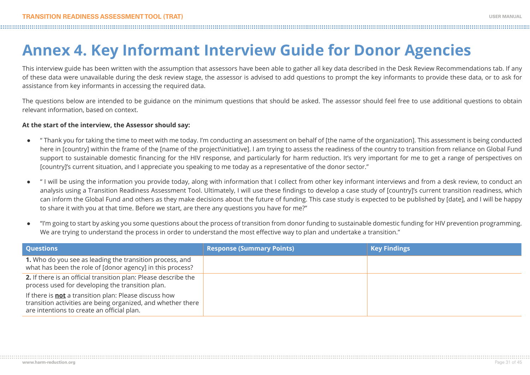# **Annex 4. Key Informant Interview Guide for Donor Agencies**

This interview guide has been written with the assumption that assessors have been able to gather all key data described in the Desk Review Recommendations tab. If any of these data were unavailable during the desk review stage, the assessor is advised to add questions to prompt the key informants to provide these data, or to ask for assistance from key informants in accessing the required data.

The questions below are intended to be guidance on the minimum questions that should be asked. The assessor should feel free to use additional questions to obtain relevant information, based on context.

#### **At the start of the interview, the Assessor should say:**

- **●** " Thank you for taking the time to meet with me today. I'm conducting an assessment on behalf of [the name of the organization]. This assessment is being conducted here in [country] within the frame of the [name of the project\initiative]. I am trying to assess the readiness of the country to transition from reliance on Global Fund support to sustainable domestic financing for the HIV response, and particularly for harm reduction. It's very important for me to get a range of perspectives on [country]'s current situation, and I appreciate you speaking to me today as a representative of the donor sector."
- **●** " I will be using the information you provide today, along with information that I collect from other key informant interviews and from a desk review, to conduct an analysis using a Transition Readiness Assessment Tool. Ultimately, I will use these findings to develop a case study of [country]'s current transition readiness, which can inform the Global Fund and others as they make decisions about the future of funding. This case study is expected to be published by [date], and I will be happy to share it with you at that time. Before we start, are there any questions you have for me?"
- **●** "I'm going to start by asking you some questions about the process of transition from donor funding to sustainable domestic funding for HIV prevention programming. We are trying to understand the process in order to understand the most effective way to plan and undertake a transition."

| <b>Questions</b>                                                                                                                                                           | <b>Response (Summary Points)</b> | <b>Key Findings</b> |
|----------------------------------------------------------------------------------------------------------------------------------------------------------------------------|----------------------------------|---------------------|
| 1. Who do you see as leading the transition process, and<br>what has been the role of [donor agency] in this process?                                                      |                                  |                     |
| 2. If there is an official transition plan: Please describe the<br>process used for developing the transition plan.                                                        |                                  |                     |
| If there is <b>not</b> a transition plan: Please discuss how<br>transition activities are being organized, and whether there<br>are intentions to create an official plan. |                                  |                     |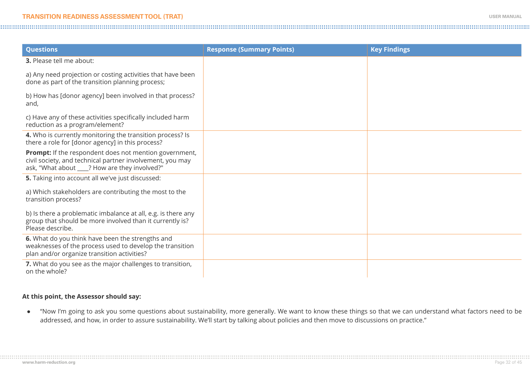| <b>Questions</b>                                                                                                                                                            | <b>Response (Summary Points)</b> | <b>Key Findings</b> |
|-----------------------------------------------------------------------------------------------------------------------------------------------------------------------------|----------------------------------|---------------------|
| <b>3.</b> Please tell me about:                                                                                                                                             |                                  |                     |
| a) Any need projection or costing activities that have been<br>done as part of the transition planning process;                                                             |                                  |                     |
| b) How has [donor agency] been involved in that process?<br>and,                                                                                                            |                                  |                     |
| c) Have any of these activities specifically included harm<br>reduction as a program/element?                                                                               |                                  |                     |
| 4. Who is currently monitoring the transition process? Is<br>there a role for [donor agency] in this process?                                                               |                                  |                     |
| <b>Prompt:</b> If the respondent does not mention government,<br>civil society, and technical partner involvement, you may<br>ask, "What about ___? How are they involved?" |                                  |                     |
| 5. Taking into account all we've just discussed:                                                                                                                            |                                  |                     |
| a) Which stakeholders are contributing the most to the<br>transition process?                                                                                               |                                  |                     |
| b) Is there a problematic imbalance at all, e.g. is there any<br>group that should be more involved than it currently is?<br>Please describe.                               |                                  |                     |
| 6. What do you think have been the strengths and<br>weaknesses of the process used to develop the transition<br>plan and/or organize transition activities?                 |                                  |                     |
| 7. What do you see as the major challenges to transition,<br>on the whole?                                                                                                  |                                  |                     |

#### **At this point, the Assessor should say:**

**●** "Now I'm going to ask you some questions about sustainability, more generally. We want to know these things so that we can understand what factors need to be addressed, and how, in order to assure sustainability. We'll start by talking about policies and then move to discussions on practice."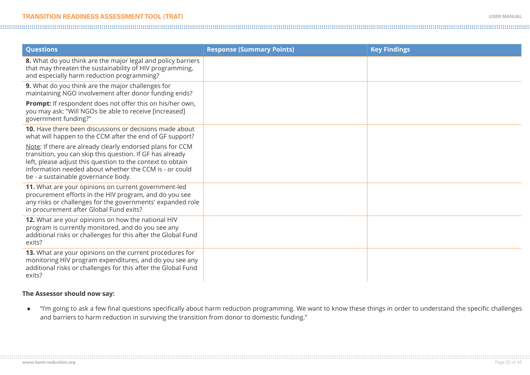| <b>Questions</b>                                                                                                                                                                                                                                                                      | <b>Response (Summary Points)</b> | <b>Key Findings</b> |
|---------------------------------------------------------------------------------------------------------------------------------------------------------------------------------------------------------------------------------------------------------------------------------------|----------------------------------|---------------------|
| 8. What do you think are the major legal and policy barriers<br>that may threaten the sustainability of HIV programming,<br>and especially harm reduction programming?                                                                                                                |                                  |                     |
| 9. What do you think are the major challenges for<br>maintaining NGO involvement after donor funding ends?                                                                                                                                                                            |                                  |                     |
| Prompt: If respondent does not offer this on his/her own,<br>you may ask: "Will NGOs be able to receive [increased]<br>government funding?"                                                                                                                                           |                                  |                     |
| 10. Have there been discussions or decisions made about<br>what will happen to the CCM after the end of GF support?                                                                                                                                                                   |                                  |                     |
| Note: If there are already clearly endorsed plans for CCM<br>transition, you can skip this question. If GF has already<br>left, please adjust this question to the context to obtain<br>information needed about whether the CCM is - or could<br>be - a sustainable governance body. |                                  |                     |
| 11. What are your opinions on current government-led<br>procurement efforts in the HIV program, and do you see<br>any risks or challenges for the governments' expanded role<br>in procurement after Global Fund exits?                                                               |                                  |                     |
| 12. What are your opinions on how the national HIV<br>program is currently monitored, and do you see any<br>additional risks or challenges for this after the Global Fund<br>exits?                                                                                                   |                                  |                     |
| 13. What are your opinions on the current procedures for<br>monitoring HIV program expenditures, and do you see any<br>additional risks or challenges for this after the Global Fund<br>exits?                                                                                        |                                  |                     |

#### **The Assessor should now say:**

**●** "I'm going to ask a few final questions specifically about harm reduction programming. We want to know these things in order to understand the specific challenges and barriers to harm reduction in surviving the transition from donor to domestic funding."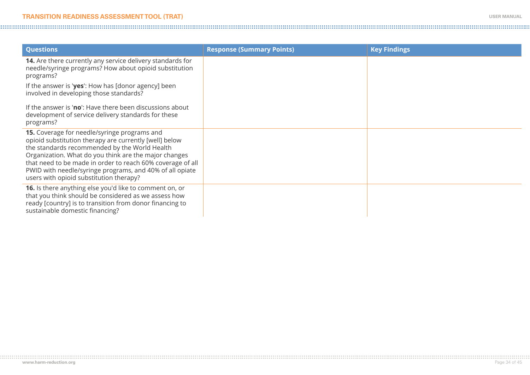| <b>Questions</b>                                                                                                                                                                                                                                                                                                                                                                      | <b>Response (Summary Points)</b> | <b>Key Findings</b> |
|---------------------------------------------------------------------------------------------------------------------------------------------------------------------------------------------------------------------------------------------------------------------------------------------------------------------------------------------------------------------------------------|----------------------------------|---------------------|
| 14. Are there currently any service delivery standards for<br>needle/syringe programs? How about opioid substitution<br>programs?                                                                                                                                                                                                                                                     |                                  |                     |
| If the answer is 'yes': How has [donor agency] been<br>involved in developing those standards?                                                                                                                                                                                                                                                                                        |                                  |                     |
| If the answer is 'no': Have there been discussions about<br>development of service delivery standards for these<br>programs?                                                                                                                                                                                                                                                          |                                  |                     |
| 15. Coverage for needle/syringe programs and<br>opioid substitution therapy are currently [well] below<br>the standards recommended by the World Health<br>Organization. What do you think are the major changes<br>that need to be made in order to reach 60% coverage of all<br>PWID with needle/syringe programs, and 40% of all opiate<br>users with opioid substitution therapy? |                                  |                     |
| 16. Is there anything else you'd like to comment on, or<br>that you think should be considered as we assess how<br>ready [country] is to transition from donor financing to<br>sustainable domestic financing?                                                                                                                                                                        |                                  |                     |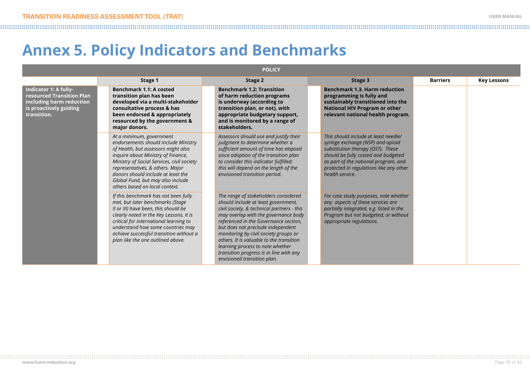### **Annex 5. Policy Indicators and Benchmarks**

| <b>POLICY</b>                                                                                                           |                                                                                                                                                                                                                                                                                                                                              |                                                                                                                                                                                                                                                                                                                                                                                                                                                    |                                                                                                                                                                                                                                                             |                 |                    |
|-------------------------------------------------------------------------------------------------------------------------|----------------------------------------------------------------------------------------------------------------------------------------------------------------------------------------------------------------------------------------------------------------------------------------------------------------------------------------------|----------------------------------------------------------------------------------------------------------------------------------------------------------------------------------------------------------------------------------------------------------------------------------------------------------------------------------------------------------------------------------------------------------------------------------------------------|-------------------------------------------------------------------------------------------------------------------------------------------------------------------------------------------------------------------------------------------------------------|-----------------|--------------------|
|                                                                                                                         | Stage 1                                                                                                                                                                                                                                                                                                                                      | Stage 2                                                                                                                                                                                                                                                                                                                                                                                                                                            | Stage 3                                                                                                                                                                                                                                                     | <b>Barriers</b> | <b>Key Lessons</b> |
| Indicator 1: A fully-<br>resourced Transition Plan<br>including harm reduction<br>is proactively guiding<br>transition. | Benchmark 1.1: A costed<br>transition plan has been<br>developed via a multi-stakeholder<br>consultative process & has<br>been endorsed & appropriately<br>resourced by the government &<br>major donors.                                                                                                                                    | <b>Benchmark 1.2: Transition</b><br>of harm reduction programs<br>is underway (according to<br>transition plan, or not), with<br>appropriate budgetary support,<br>and is monitored by a range of<br>stakeholders.                                                                                                                                                                                                                                 | <b>Benchmark 1.3. Harm reduction</b><br>programming is fully and<br>sustainably transitioned into the<br><b>National HIV Program or other</b><br>relevant national health program.                                                                          |                 |                    |
|                                                                                                                         | At a minimum, government<br>endorsements should include Ministry<br>of Health, but assessors might also<br>inquire about Ministry of Finance,<br>Ministry of Social Services, civil society<br>representatives, & others. Major<br>donors should include at least the<br>Global Fund, but may also include<br>others based on local context. | Assessors should use and justify their<br>judgment to determine whether a<br>sufficient amount of time has elapsed<br>since adoption of the transition plan<br>to consider this indicator fulfilled;<br>this will depend on the length of the<br>envisioned transition period.                                                                                                                                                                     | This should include at least needle/<br>syringe exchange (NSP) and opioid<br>substitution therapy (OST). These<br>should be fully costed and budgeted<br>as part of the national program, and<br>protected in regulations like any other<br>health service. |                 |                    |
|                                                                                                                         | If this benchmark has not been fully<br>met, but later benchmarks (Stage<br>Il or III) have been, this should be<br>clearly noted in the Key Lessons. It is<br>critical for international learning to<br>understand how some countries may<br>achieve successful transition without a<br>plan like the one outlined above.                   | The range of stakeholders considered<br>should include at least government,<br>civil society, & technical partners - this<br>may overlap with the governance body<br>referenced in the Governance section,<br>but does not preclude independent<br>monitoring by civil society groups or<br>others. It is valuable to the transition<br>learning process to note whether<br>transition progress is in line with any<br>envisioned transition plan. | For case study purposes, note whether<br>any aspects of these services are<br>partially integrated, e.g. listed in the<br>Program but not budgeted, or without<br>appropriate regulations.                                                                  |                 |                    |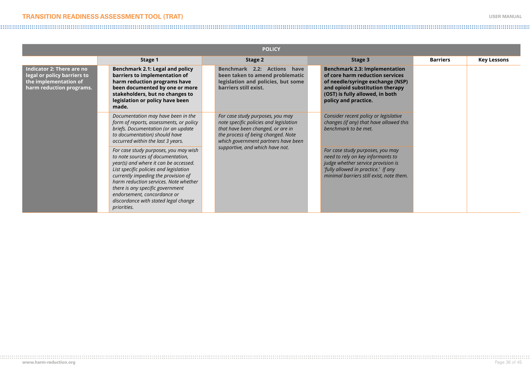| <b>POLICY</b>                                                                                                 |                                                                                                                                                                                                                                                                                                                                                                         |                                                                                                                                                                                              |                                                                                                                                                                                                           |                 |                    |
|---------------------------------------------------------------------------------------------------------------|-------------------------------------------------------------------------------------------------------------------------------------------------------------------------------------------------------------------------------------------------------------------------------------------------------------------------------------------------------------------------|----------------------------------------------------------------------------------------------------------------------------------------------------------------------------------------------|-----------------------------------------------------------------------------------------------------------------------------------------------------------------------------------------------------------|-----------------|--------------------|
|                                                                                                               | Stage 1                                                                                                                                                                                                                                                                                                                                                                 | Stage 2                                                                                                                                                                                      | Stage 3                                                                                                                                                                                                   | <b>Barriers</b> | <b>Key Lessons</b> |
| Indicator 2: There are no<br>legal or policy barriers to<br>the implementation of<br>harm reduction programs. | Benchmark 2.1: Legal and policy<br>barriers to implementation of<br>harm reduction programs have<br>been documented by one or more<br>stakeholders, but no changes to<br>legislation or policy have been<br>made.                                                                                                                                                       | Benchmark 2.2: Actions have<br>been taken to amend problematic<br>legislation and policies, but some<br>barriers still exist.                                                                | <b>Benchmark 2.3: Implementation</b><br>of core harm reduction services<br>of needle/syringe exchange (NSP)<br>and opioid substitution therapy<br>(OST) is fully allowed, in both<br>policy and practice. |                 |                    |
|                                                                                                               | Documentation may have been in the<br>form of reports, assessments, or policy<br>briefs. Documentation (or an update<br>to documentation) should have<br>occurred within the last 3 years.                                                                                                                                                                              | For case study purposes, you may<br>note specific policies and legislation<br>that have been changed, or are in<br>the process of being changed. Note<br>which government partners have been | Consider recent policy or legislative<br>changes (if any) that have allowed this<br>benchmark to be met.                                                                                                  |                 |                    |
|                                                                                                               | For case study purposes, you may wish<br>to note sources of documentation,<br>year(s) and where it can be accessed.<br>List specific policies and legislation<br>currently impeding the provision of<br>harm reduction services. Note whether<br>there is any specific government<br>endorsement, concordance or<br>discordance with stated legal change<br>priorities. | supportive, and which have not.                                                                                                                                                              | For case study purposes, you may<br>need to rely on key informants to<br>judge whether service provision is<br>'fully allowed in practice.' If any<br>minimal barriers still exist, note them.            |                 |                    |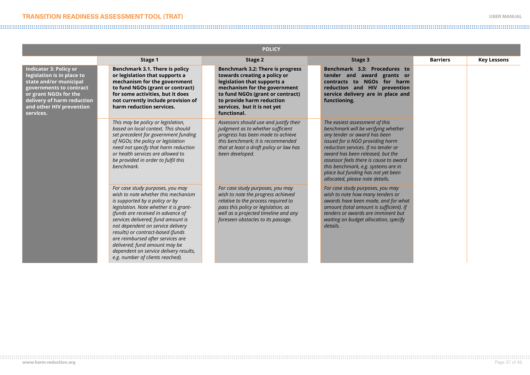| <b>POLICY</b>                                                                                                                                                                                                    |                                                                                                                                                                                                                                                                                                                                                                                                                                                              |                                                                                                                                                                                                                                                |                                                                                                                                                                                                                                                                                                                                                                               |                 |                    |
|------------------------------------------------------------------------------------------------------------------------------------------------------------------------------------------------------------------|--------------------------------------------------------------------------------------------------------------------------------------------------------------------------------------------------------------------------------------------------------------------------------------------------------------------------------------------------------------------------------------------------------------------------------------------------------------|------------------------------------------------------------------------------------------------------------------------------------------------------------------------------------------------------------------------------------------------|-------------------------------------------------------------------------------------------------------------------------------------------------------------------------------------------------------------------------------------------------------------------------------------------------------------------------------------------------------------------------------|-----------------|--------------------|
|                                                                                                                                                                                                                  | Stage 1                                                                                                                                                                                                                                                                                                                                                                                                                                                      | Stage 2                                                                                                                                                                                                                                        | Stage 3                                                                                                                                                                                                                                                                                                                                                                       | <b>Barriers</b> | <b>Key Lessons</b> |
| <b>Indicator 3: Policy or</b><br>legislation is in place to<br>state and/or municipal<br>governments to contract<br>or grant NGOs for the<br>delivery of harm reduction<br>and other HIV prevention<br>services. | Benchmark 3.1. There is policy<br>or legislation that supports a<br>mechanism for the government<br>to fund NGOs (grant or contract)<br>for some activities, but it does<br>not currently include provision of<br>harm reduction services.                                                                                                                                                                                                                   | Benchmark 3.2: There is progress<br>towards creating a policy or<br>legislation that supports a<br>mechanism for the government<br>to fund NGOs (grant or contract)<br>to provide harm reduction<br>services, but it is not yet<br>functional. | Benchmark 3.3: Procedures to<br>tender and award grants or<br>NGOs for harm<br>contracts to<br>reduction and HIV prevention<br>service delivery are in place and<br>functioning.                                                                                                                                                                                              |                 |                    |
|                                                                                                                                                                                                                  | This may be policy or legislation,<br>based on local context. This should<br>set precedent for government funding<br>of NGOs; the policy or legislation<br>need not specify that harm reduction<br>or health services are allowed to<br>be provided in order to fulfil this<br>henchmark.                                                                                                                                                                    | Assessors should use and justify their<br>judgment as to whether sufficient<br>progress has been made to achieve<br>this benchmark; it is recommended<br>that at least a draft policy or law has<br>been developed.                            | The easiest assessment of this<br>benchmark will be verifying whether<br>any tender or award has been<br>issued for a NGO providing harm<br>reduction services. If no tender or<br>award has been released, but the<br>assessor feels there is cause to award<br>this benchmark, e.g. systems are in<br>place but funding has not yet been<br>allocated, please note details. |                 |                    |
|                                                                                                                                                                                                                  | For case study purposes, you may<br>wish to note whether this mechanism<br>is supported by a policy or by<br>legislation. Note whether it is grant-<br>(funds are received in advance of<br>services delivered; fund amount is<br>not dependent on service delivery<br>results) or contract-based (funds<br>are reimbursed after services are<br>delivered; fund amount may be<br>dependent on service delivery results,<br>e.g. number of clients reached). | For case study purposes, you may<br>wish to note the progress achieved<br>relative to the process required to<br>pass this policy or legislation, as<br>well as a projected timeline and any<br>foreseen obstacles to its passage.             | For case study purposes, you may<br>wish to note how many tenders or<br>awards have been made, and for what<br>amount (total amount is sufficient). If<br>tenders or awards are imminent but<br>waiting on budget allocation, specify<br>details.                                                                                                                             |                 |                    |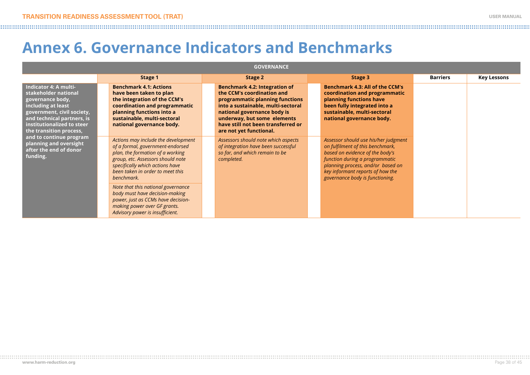### **Annex 6. Governance Indicators and Benchmarks**

| <b>GOVERNANCE</b>                                                                                                                                                                                                                                                                                       |                                                                                                                                                                                                                                                                                                                                                                                                                        |                                                                                                                                                                                                                                                                     |                                                                                                                                                                                                                                                           |                 |                    |
|---------------------------------------------------------------------------------------------------------------------------------------------------------------------------------------------------------------------------------------------------------------------------------------------------------|------------------------------------------------------------------------------------------------------------------------------------------------------------------------------------------------------------------------------------------------------------------------------------------------------------------------------------------------------------------------------------------------------------------------|---------------------------------------------------------------------------------------------------------------------------------------------------------------------------------------------------------------------------------------------------------------------|-----------------------------------------------------------------------------------------------------------------------------------------------------------------------------------------------------------------------------------------------------------|-----------------|--------------------|
|                                                                                                                                                                                                                                                                                                         | Stage 1                                                                                                                                                                                                                                                                                                                                                                                                                | Stage 2                                                                                                                                                                                                                                                             | Stage 3                                                                                                                                                                                                                                                   | <b>Barriers</b> | <b>Key Lessons</b> |
| Indicator 4: A multi-<br>stakeholder national<br>governance body,<br>including at least<br>government, civil society,<br>and technical partners, is<br>institutionalized to steer<br>the transition process,<br>and to continue program<br>planning and oversight<br>after the end of donor<br>funding. | <b>Benchmark 4.1: Actions</b><br>have been taken to plan<br>the integration of the CCM's<br>coordination and programmatic<br>planning functions into a<br>sustainable, multi-sectoral<br>national governance body.                                                                                                                                                                                                     | Benchmark 4.2: Integration of<br>the CCM's coordination and<br>programmatic planning functions<br>into a sustainable, multi-sectoral<br>national governance body is<br>underway, but some elements<br>have still not been transferred or<br>are not yet functional. | <b>Benchmark 4.3: All of the CCM's</b><br>coordination and programmatic<br>planning functions have<br>been fully integrated into a<br>sustainable, multi-sectoral<br>national governance body.                                                            |                 |                    |
|                                                                                                                                                                                                                                                                                                         | Actions may include the development<br>of a formal, government-endorsed<br>plan, the formation of a working<br>group, etc. Assessors should note<br>specifically which actions have<br>been taken in order to meet this<br>benchmark.<br>Note that this national governance<br>body must have decision-making<br>power, just as CCMs have decision-<br>making power over GF grants.<br>Advisory power is insufficient. | Assessors should note which aspects<br>of integration have been successful<br>so far, and which remain to be<br>completed.                                                                                                                                          | Assessor should use his/her judgment<br>on fulfilment of this benchmark,<br>based on evidence of the body's<br>function during a programmatic<br>planning process, and/or based on<br>key informant reports of how the<br>governance body is functioning. |                 |                    |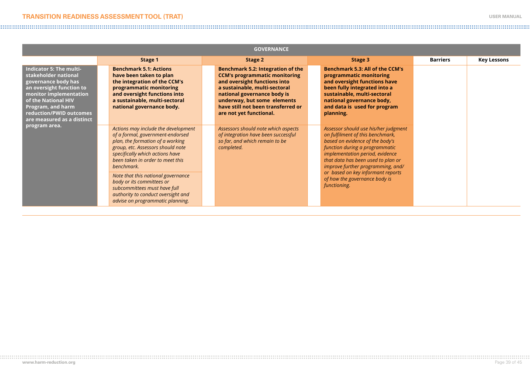| <b>GOVERNANCE</b>                                                                                                                                                                                                                 |                                                                                                                                                                                                                                                                                                                                                                                                                    |                                                                                                                                                                                                                                                                           |                                                                                                                                                                                                                                                                                                                                                   |                 |                    |
|-----------------------------------------------------------------------------------------------------------------------------------------------------------------------------------------------------------------------------------|--------------------------------------------------------------------------------------------------------------------------------------------------------------------------------------------------------------------------------------------------------------------------------------------------------------------------------------------------------------------------------------------------------------------|---------------------------------------------------------------------------------------------------------------------------------------------------------------------------------------------------------------------------------------------------------------------------|---------------------------------------------------------------------------------------------------------------------------------------------------------------------------------------------------------------------------------------------------------------------------------------------------------------------------------------------------|-----------------|--------------------|
|                                                                                                                                                                                                                                   | Stage 1                                                                                                                                                                                                                                                                                                                                                                                                            | Stage 2                                                                                                                                                                                                                                                                   | Stage 3                                                                                                                                                                                                                                                                                                                                           | <b>Barriers</b> | <b>Key Lessons</b> |
| Indicator 5: The multi-<br>stakeholder national<br>governance body has<br>an oversight function to<br>monitor implementation<br>of the National HIV<br>Program, and harm<br>reduction/PWID outcomes<br>are measured as a distinct | <b>Benchmark 5.1: Actions</b><br>have been taken to plan<br>the integration of the CCM's<br>programmatic monitoring<br>and oversight functions into<br>a sustainable, multi-sectoral<br>national governance body.                                                                                                                                                                                                  | Benchmark 5.2: Integration of the<br><b>CCM's programmatic monitoring</b><br>and oversight functions into<br>a sustainable, multi-sectoral<br>national governance body is<br>underway, but some elements<br>have still not been transferred or<br>are not yet functional. | <b>Benchmark 5.3: All of the CCM's</b><br>programmatic monitoring<br>and oversight functions have<br>been fully integrated into a<br>sustainable, multi-sectoral<br>national governance body,<br>and data is used for program<br>planning.                                                                                                        |                 |                    |
| program area.                                                                                                                                                                                                                     | Actions may include the development<br>of a formal, government-endorsed<br>plan, the formation of a working<br>group, etc. Assessors should note<br>specifically which actions have<br>been taken in order to meet this<br>benchmark.<br>Note that this national governance<br>body or its committees or<br>subcommittees must have full<br>authority to conduct oversight and<br>advise on programmatic planning. | Assessors should note which aspects<br>of integration have been successful<br>so far, and which remain to be<br>completed.                                                                                                                                                | Assessor should use his/her judgment<br>on fulfilment of this benchmark,<br>based on evidence of the body's<br>function during a programmatic<br>implementation period, evidence<br>that data has been used to plan or<br>improve further programming, and/<br>or based on key informant reports<br>of how the governance body is<br>functioning. |                 |                    |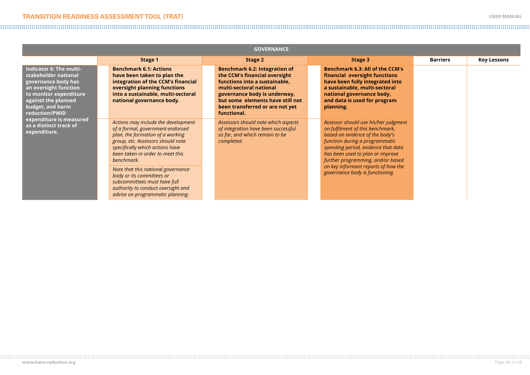| <b>GOVERNANCE</b>                                                                                                                                                                      |                                                                                                                                                                                                                                                                                                                                                                                                                    |                                                                                                                                                                                                                                                  |                                                                                                                                                                                                                                                                                                                                         |                 |                    |
|----------------------------------------------------------------------------------------------------------------------------------------------------------------------------------------|--------------------------------------------------------------------------------------------------------------------------------------------------------------------------------------------------------------------------------------------------------------------------------------------------------------------------------------------------------------------------------------------------------------------|--------------------------------------------------------------------------------------------------------------------------------------------------------------------------------------------------------------------------------------------------|-----------------------------------------------------------------------------------------------------------------------------------------------------------------------------------------------------------------------------------------------------------------------------------------------------------------------------------------|-----------------|--------------------|
|                                                                                                                                                                                        | Stage 1                                                                                                                                                                                                                                                                                                                                                                                                            | Stage 2                                                                                                                                                                                                                                          | Stage 3                                                                                                                                                                                                                                                                                                                                 | <b>Barriers</b> | <b>Key Lessons</b> |
| Indicator 6: The multi-<br>stakeholder national<br>governance body has<br>an oversight function<br>to monitor expenditure<br>against the planned<br>budget, and harm<br>reduction/PWID | <b>Benchmark 6.1: Actions</b><br>have been taken to plan the<br>integration of the CCM's financial<br>oversight planning functions<br>into a sustainable, multi-sectoral<br>national governance body.                                                                                                                                                                                                              | Benchmark 6.2: Integration of<br>the CCM's financial oversight<br>functions into a sustainable.<br>multi-sectoral national<br>governance body is underway,<br>but some elements have still not<br>been transferred or are not yet<br>functional. | <b>Benchmark 6.3: All of the CCM's</b><br>financial oversight functions<br>have been fully integrated into<br>a sustainable, multi-sectoral<br>national governance body,<br>and data is used for program<br>planning.                                                                                                                   |                 |                    |
| expenditure is measured<br>as a distinct track of<br>expenditure.                                                                                                                      | Actions may include the development<br>of a formal, government-endorsed<br>plan, the formation of a working<br>group, etc. Assessors should note<br>specifically which actions have<br>been taken in order to meet this<br>benchmark.<br>Note that this national governance<br>body or its committees or<br>subcommittees must have full<br>authority to conduct oversight and<br>advise on programmatic planning. | Assessors should note which aspects<br>of integration have been successful<br>so far, and which remain to be<br>completed.                                                                                                                       | Assessor should use his/her judgment<br>on fulfilment of this benchmark,<br>based on evidence of the body's<br>function during a programmatic<br>spending period, evidence that data<br>has been used to plan or improve<br>further programming, and/or based<br>on key informant reports of how the<br>governance body is functioning. |                 |                    |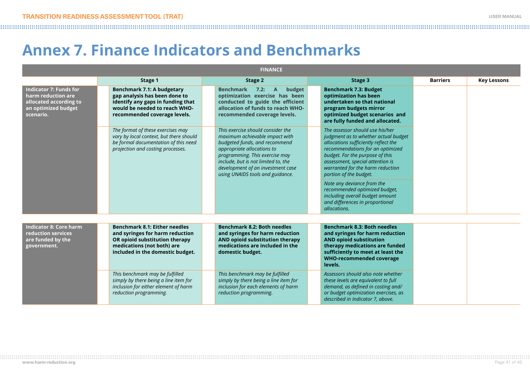# **Annex 7. Finance Indicators and Benchmarks**

| <b>FINANCE</b>                                                                                                    |                                                                                                                                                                             |                                                                                                                                                                                                                                                                                      |                                                                                                                                                                                                                                                                                          |                 |                    |  |
|-------------------------------------------------------------------------------------------------------------------|-----------------------------------------------------------------------------------------------------------------------------------------------------------------------------|--------------------------------------------------------------------------------------------------------------------------------------------------------------------------------------------------------------------------------------------------------------------------------------|------------------------------------------------------------------------------------------------------------------------------------------------------------------------------------------------------------------------------------------------------------------------------------------|-----------------|--------------------|--|
|                                                                                                                   | Stage 1                                                                                                                                                                     | Stage 2                                                                                                                                                                                                                                                                              | Stage 3                                                                                                                                                                                                                                                                                  | <b>Barriers</b> | <b>Key Lessons</b> |  |
| <b>Indicator 7: Funds for</b><br>harm reduction are<br>allocated according to<br>an optimized budget<br>scenario. | <b>Benchmark 7.1: A budgetary</b><br>gap analysis has been done to<br>identify any gaps in funding that<br>would be needed to reach WHO-<br>recommended coverage levels.    | <b>Benchmark</b><br>budget<br>7.2:<br>$\mathsf{A}$<br>optimization exercise has been<br>conducted to guide the efficient<br>allocation of funds to reach WHO-<br>recommended coverage levels.                                                                                        | <b>Benchmark 7.3: Budget</b><br>optimization has been<br>undertaken so that national<br>program budgets mirror<br>optimized budget scenarios and<br>are fully funded and allocated.                                                                                                      |                 |                    |  |
|                                                                                                                   | The format of these exercises may<br>vary by local context, but there should<br>be formal documentation of this need<br>projection and costing processes.                   | This exercise should consider the<br>maximum achievable impact with<br>budgeted funds, and recommend<br>appropriate allocations to<br>programming. This exercise may<br>include, but is not limited to, the<br>development of an investment case<br>using UNAIDS tools and guidance. | The assessor should use his/her<br>judgment as to whether actual budget<br>allocations sufficiently reflect the<br>recommendations for an optimized<br>budget. For the purpose of this<br>assessment, special attention is<br>warranted for the harm reduction<br>portion of the budget. |                 |                    |  |
|                                                                                                                   |                                                                                                                                                                             |                                                                                                                                                                                                                                                                                      | Note any deviance from the<br>recommended optimized budget,<br>including overall budget amount<br>and differences in proportional<br>allocations.                                                                                                                                        |                 |                    |  |
| <b>Indicator 8: Core harm</b><br>reduction services<br>are funded by the<br>government.                           | <b>Benchmark 8.1: Either needles</b><br>and syringes for harm reduction<br>OR opioid substitution therapy<br>medications (not both) are<br>included in the domestic budget. | <b>Benchmark 8.2: Both needles</b><br>and syringes for harm reduction<br>AND opioid substitution therapy<br>medications are included in the<br>domestic budget.                                                                                                                      | <b>Benchmark 8.3: Both needles</b><br>and syringes for harm reduction<br><b>AND opioid substitution</b><br>therapy medications are funded<br>sufficiently to meet at least the<br><b>WHO-recommended coverage</b><br>levels.                                                             |                 |                    |  |
|                                                                                                                   | This benchmark may be fulfilled<br>simply by there being a line item for<br>inclusion for either element of harm<br>reduction programming.                                  | This benchmark may be fulfilled<br>simply by there being a line item for<br>inclusion for each elements of harm<br>reduction programming.                                                                                                                                            | Assessors should also note whether<br>these levels are equivalent to full<br>demand, as defined in costing and/<br>or budget optimization exercises, as<br>described in Indicator 7, above.                                                                                              |                 |                    |  |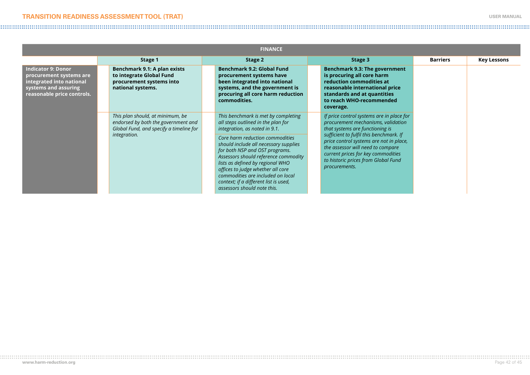#### **TRANSITION READINESS ASSESSMENT TOOL (TRAT) USER MANUAL**

#### 

| <b>FINANCE</b>                                                                                                                         |                                                                                                                    |                                                                                                                                                                                                                                                                                                                                          |                                                                                                                                                                                                                       |                 |                    |
|----------------------------------------------------------------------------------------------------------------------------------------|--------------------------------------------------------------------------------------------------------------------|------------------------------------------------------------------------------------------------------------------------------------------------------------------------------------------------------------------------------------------------------------------------------------------------------------------------------------------|-----------------------------------------------------------------------------------------------------------------------------------------------------------------------------------------------------------------------|-----------------|--------------------|
|                                                                                                                                        | Stage 1                                                                                                            | Stage 2                                                                                                                                                                                                                                                                                                                                  | Stage 3                                                                                                                                                                                                               | <b>Barriers</b> | <b>Key Lessons</b> |
| <b>Indicator 9: Donor</b><br>procurement systems are<br>integrated into national<br>systems and assuring<br>reasonable price controls. | Benchmark 9.1: A plan exists<br>to integrate Global Fund<br>procurement systems into<br>national systems.          | Benchmark 9.2: Global Fund<br>procurement systems have<br>been integrated into national<br>systems, and the government is<br>procuring all core harm reduction<br>commodities.                                                                                                                                                           | Benchmark 9.3: The government<br>is procuring all core harm<br>reduction commodities at<br>reasonable international price<br>standards and at quantities<br>to reach WHO-recommended<br>coverage.                     |                 |                    |
|                                                                                                                                        | This plan should, at minimum, be<br>endorsed by both the government and<br>Global Fund, and specify a timeline for | This benchmark is met by completing<br>all steps outlined in the plan for<br>integration, as noted in 9.1.                                                                                                                                                                                                                               | If price control systems are in place for<br>procurement mechanisms, validation<br>that systems are functioning is                                                                                                    |                 |                    |
|                                                                                                                                        | integration.                                                                                                       | Core harm reduction commodities<br>should include all necessary supplies<br>for both NSP and OST programs.<br>Assessors should reference commodity<br>lists as defined by regional WHO<br>offices to judge whether all core<br>commodities are included on local<br>context; if a different list is used,<br>assessors should note this. | sufficient to fulfil this benchmark. If<br>price control systems are not in place,<br>the assessor will need to compare<br>current prices for key commodities<br>to historic prices from Global Fund<br>procurements. |                 |                    |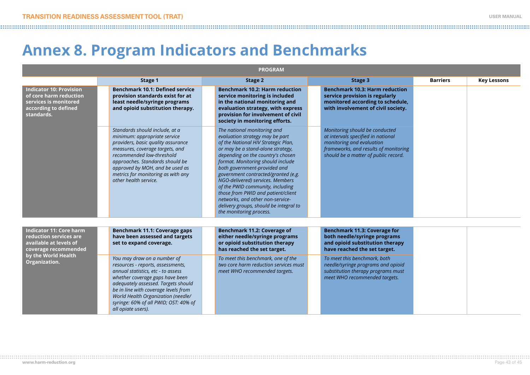# <span id="page-42-0"></span>**Annex 8. Program Indicators and Benchmarks**

| <b>PROGRAM</b>                                                                                                                                     |                                                                                                                                                                                                                                                                                                                               |                                                                                                                                                                                                                                                                                                                                                                                                                                                                                                                    |                                                                                                                                                                                    |                 |                    |  |  |  |
|----------------------------------------------------------------------------------------------------------------------------------------------------|-------------------------------------------------------------------------------------------------------------------------------------------------------------------------------------------------------------------------------------------------------------------------------------------------------------------------------|--------------------------------------------------------------------------------------------------------------------------------------------------------------------------------------------------------------------------------------------------------------------------------------------------------------------------------------------------------------------------------------------------------------------------------------------------------------------------------------------------------------------|------------------------------------------------------------------------------------------------------------------------------------------------------------------------------------|-----------------|--------------------|--|--|--|
|                                                                                                                                                    | Stage 1                                                                                                                                                                                                                                                                                                                       | Stage 2                                                                                                                                                                                                                                                                                                                                                                                                                                                                                                            | Stage 3                                                                                                                                                                            | <b>Barriers</b> | <b>Key Lessons</b> |  |  |  |
| <b>Indicator 10: Provision</b><br>of core harm reduction<br>services is monitored<br>according to defined<br>standards.                            | <b>Benchmark 10.1: Defined service</b><br>provision standards exist for at<br>least needle/syringe programs<br>and opioid substitution therapy.                                                                                                                                                                               | <b>Benchmark 10.2: Harm reduction</b><br>service monitoring is included<br>in the national monitoring and<br>evaluation strategy, with express<br>provision for involvement of civil<br>society in monitoring efforts.                                                                                                                                                                                                                                                                                             | <b>Benchmark 10.3: Harm reduction</b><br>service provision is regularly<br>monitored according to schedule,<br>with involvement of civil society.                                  |                 |                    |  |  |  |
|                                                                                                                                                    | Standards should include, at a<br>minimum: appropriate service<br>providers, basic quality assurance<br>measures, coverage targets, and<br>recommended low-threshold<br>approaches. Standards should be<br>approved by MOH, and be used as<br>metrics for monitoring as with any<br>other health service.                     | The national monitoring and<br>evaluation strategy may be part<br>of the National HIV Strategic Plan,<br>or may be a stand-alone strategy,<br>depending on the country's chosen<br>format. Monitoring should include<br>both government-provided and<br>government contracted/granted (e.g.<br>NGO-delivered) services. Members<br>of the PWID community, including<br>those from PWID and patient/client<br>networks, and other non-service-<br>delivery groups, should be integral to<br>the monitoring process. | Monitoring should be conducted<br>at intervals specified in national<br>monitoring and evaluation<br>frameworks, and results of monitoring<br>should be a matter of public record. |                 |                    |  |  |  |
| <b>Indicator 11: Core harm</b><br>reduction services are<br>available at levels of<br>coverage recommended<br>by the World Health<br>Organization. | Benchmark 11.1: Coverage gaps<br>have been assessed and targets<br>set to expand coverage.                                                                                                                                                                                                                                    | Benchmark 11.2: Coverage of<br>either needle/syringe programs<br>or opioid substitution therapy<br>has reached the set target.                                                                                                                                                                                                                                                                                                                                                                                     | <b>Benchmark 11.3: Coverage for</b><br>both needle/syringe programs<br>and opioid substitution therapy<br>have reached the set target.                                             |                 |                    |  |  |  |
|                                                                                                                                                    | You may draw on a number of<br>resources - reports, assessments,<br>annual statistics, etc - to assess<br>whether coverage gaps have been<br>adequately assessed. Targets should<br>be in line with coverage levels from<br>World Health Organization (needle/<br>syringe: 60% of all PWID; OST: 40% of<br>all opiate users). | To meet this benchmark, one of the<br>two core harm reduction services must<br>meet WHO recommended targets.                                                                                                                                                                                                                                                                                                                                                                                                       | To meet this benchmark, both<br>needle/syringe programs and opioid<br>substitution therapy programs must<br>meet WHO recommended targets.                                          |                 |                    |  |  |  |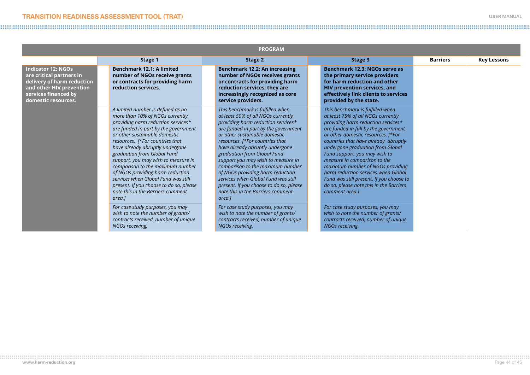| <b>PROGRAM</b>                                                                                                                                                 |                                                                                                                                                                                                                                                                                                                                                                                                                                                                                                                                          |                                                                                                                                                                                                                                                                                                                                                                                                                                                                                                                                           |                                                                                                                                                                                                                                                                                                                                                                                                                                                                                                                             |                 |                    |  |  |  |
|----------------------------------------------------------------------------------------------------------------------------------------------------------------|------------------------------------------------------------------------------------------------------------------------------------------------------------------------------------------------------------------------------------------------------------------------------------------------------------------------------------------------------------------------------------------------------------------------------------------------------------------------------------------------------------------------------------------|-------------------------------------------------------------------------------------------------------------------------------------------------------------------------------------------------------------------------------------------------------------------------------------------------------------------------------------------------------------------------------------------------------------------------------------------------------------------------------------------------------------------------------------------|-----------------------------------------------------------------------------------------------------------------------------------------------------------------------------------------------------------------------------------------------------------------------------------------------------------------------------------------------------------------------------------------------------------------------------------------------------------------------------------------------------------------------------|-----------------|--------------------|--|--|--|
|                                                                                                                                                                | Stage 1                                                                                                                                                                                                                                                                                                                                                                                                                                                                                                                                  | Stage 2                                                                                                                                                                                                                                                                                                                                                                                                                                                                                                                                   | Stage 3                                                                                                                                                                                                                                                                                                                                                                                                                                                                                                                     | <b>Barriers</b> | <b>Key Lessons</b> |  |  |  |
| <b>Indicator 12: NGOs</b><br>are critical partners in<br>delivery of harm reduction<br>and other HIV prevention<br>services financed by<br>domestic resources. | <b>Benchmark 12.1: A limited</b><br>number of NGOs receive grants<br>or contracts for providing harm<br>reduction services.                                                                                                                                                                                                                                                                                                                                                                                                              | Benchmark 12.2: An increasing<br>number of NGOs receives grants<br>or contracts for providing harm<br>reduction services; they are<br>increasingly recognized as core<br>service providers.                                                                                                                                                                                                                                                                                                                                               | Benchmark 12.3: NGOs serve as<br>the primary service providers<br>for harm reduction and other<br>HIV prevention services, and<br>effectively link clients to services<br>provided by the state.                                                                                                                                                                                                                                                                                                                            |                 |                    |  |  |  |
|                                                                                                                                                                | A limited number is defined as no<br>more than 10% of NGOs currently<br>providing harm reduction services*<br>are funded in part by the government<br>or other sustainable domestic<br>resources. [*For countries that<br>have already abruptly undergone<br>graduation from Global Fund<br>support, you may wish to measure in<br>comparison to the maximum number<br>of NGOs providing harm reduction<br>services when Global Fund was still<br>present. If you choose to do so, please<br>note this in the Barriers comment<br>area.] | This benchmark is fulfilled when<br>at least 50% of all NGOs currently<br>providing harm reduction services*<br>are funded in part by the government<br>or other sustainable domestic<br>resources. [*For countries that<br>have already abruptly undergone<br>graduation from Global Fund<br>support you may wish to measure in<br>comparison to the maximum number<br>of NGOs providing harm reduction<br>services when Global Fund was still<br>present. If you choose to do so, please<br>note this in the Barriers comment<br>area.] | This benchmark is fulfilled when<br>at least 75% of all NGOs currently<br>providing harm reduction services*<br>are funded in full by the government<br>or other domestic resources. [*For<br>countries that have already abruptly<br>undergone graduation from Global<br>Fund support, you may wish to<br>measure in comparison to the<br>maximum number of NGOs providing<br>harm reduction services when Global<br>Fund was still present. If you choose to<br>do so, please note this in the Barriers<br>comment area.] |                 |                    |  |  |  |
|                                                                                                                                                                | For case study purposes, you may<br>wish to note the number of grants/<br>contracts received, number of unique<br>NGOs receiving.                                                                                                                                                                                                                                                                                                                                                                                                        | For case study purposes, you may<br>wish to note the number of grants/<br>contracts received, number of unique<br>NGOs receiving.                                                                                                                                                                                                                                                                                                                                                                                                         | For case study purposes, you may<br>wish to note the number of grants/<br>contracts received, number of unique<br>NGOs receiving.                                                                                                                                                                                                                                                                                                                                                                                           |                 |                    |  |  |  |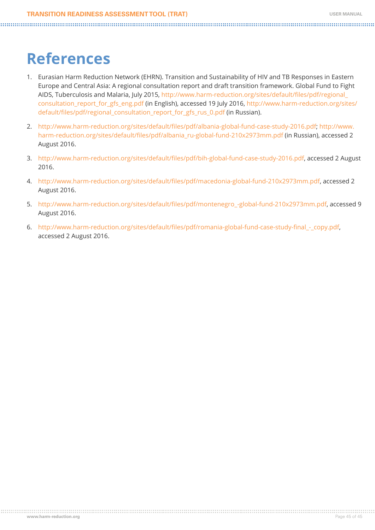# **References**

- 1. Eurasian Harm Reduction Network (EHRN). Transition and Sustainability of HIV and TB Responses in Eastern Europe and Central Asia: A regional consultation report and draft transition framework. Global Fund to Fight AIDS, Tuberculosis and Malaria, July 2015, [http://www.harm-reduction.org/sites/default/files/pdf/regional\\_](http://www.harm-reduction.org/sites/default/files/pdf/regional_consultation_report_for_gfs_eng.pdf) [consultation\\_report\\_for\\_gfs\\_eng.pdf](http://www.harm-reduction.org/sites/default/files/pdf/regional_consultation_report_for_gfs_eng.pdf) (in English), accessed 19 July 2016, [http://www.harm-reduction.org/sites/](http://www.harm-reduction.org/sites/default/files/pdf/regional_consultation_report_for_gfs_rus_0.pdf ) [default/files/pdf/regional\\_consultation\\_report\\_for\\_gfs\\_rus\\_0.pdf](http://www.harm-reduction.org/sites/default/files/pdf/regional_consultation_report_for_gfs_rus_0.pdf ) (in Russian).
- 2. <http://www.harm-reduction.org/sites/default/files/pdf/albania-global-fund-case-study-2016.pdf>; [http://www.](http://www.harm-reduction.org/sites/default/files/pdf/albania_ru-global-fund-210x2973mm.pdf) [harm-reduction.org/sites/default/files/pdf/albania\\_ru-global-fund-210x2973mm.pdf](http://www.harm-reduction.org/sites/default/files/pdf/albania_ru-global-fund-210x2973mm.pdf) (in Russian), accessed 2 August 2016.
- 3. <http://www.harm-reduction.org/sites/default/files/pdf/bih-global-fund-case-study-2016.pdf>, accessed 2 August 2016.
- 4. <http://www.harm-reduction.org/sites/default/files/pdf/macedonia-global-fund-210x2973mm.pdf>, accessed 2 August 2016.
- 5. [http://www.harm-reduction.org/sites/default/files/pdf/montenegro\\_-global-fund-210x2973mm.pdf](http://www.harm-reduction.org/sites/default/files/pdf/montenegro_-global-fund-210x2973mm.pdf), accessed 9 August 2016.
- 6. [http://www.harm-reduction.org/sites/default/files/pdf/romania-global-fund-case-study-final\\_-\\_copy.pdf](http://www.harm-reduction.org/sites/default/files/pdf/romania-global-fund-case-study-final_-_copy.pdf), accessed 2 August 2016.